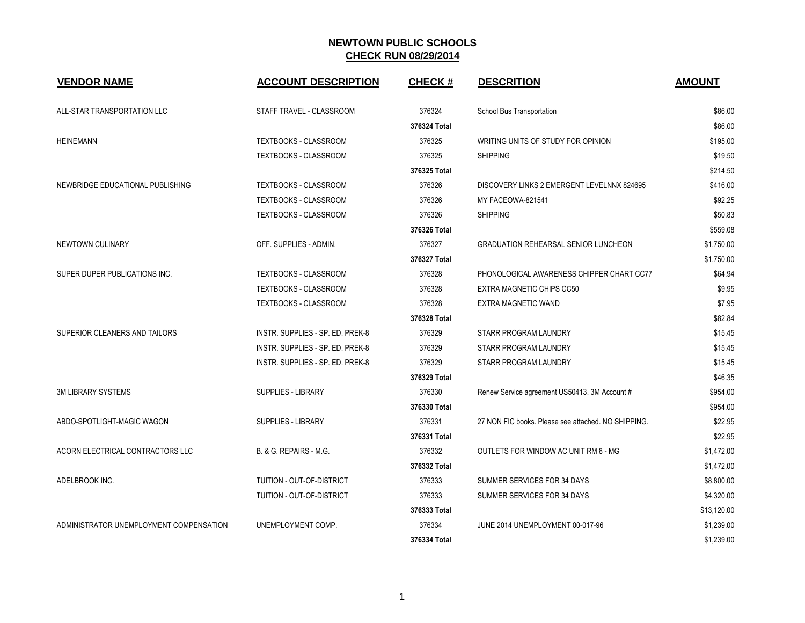| <b>VENDOR NAME</b>                      | <b>ACCOUNT DESCRIPTION</b>       | <b>CHECK#</b> | <b>DESCRITION</b>                                   | <b>AMOUNT</b> |
|-----------------------------------------|----------------------------------|---------------|-----------------------------------------------------|---------------|
| ALL-STAR TRANSPORTATION LLC             | STAFF TRAVEL - CLASSROOM         | 376324        | School Bus Transportation                           | \$86.00       |
|                                         |                                  | 376324 Total  |                                                     | \$86.00       |
| <b>HEINEMANN</b>                        | TEXTBOOKS - CLASSROOM            | 376325        | WRITING UNITS OF STUDY FOR OPINION                  | \$195.00      |
|                                         | <b>TEXTBOOKS - CLASSROOM</b>     | 376325        | <b>SHIPPING</b>                                     | \$19.50       |
|                                         |                                  | 376325 Total  |                                                     | \$214.50      |
| NEWBRIDGE EDUCATIONAL PUBLISHING        | TEXTBOOKS - CLASSROOM            | 376326        | DISCOVERY LINKS 2 EMERGENT LEVELNNX 824695          | \$416.00      |
|                                         | TEXTBOOKS - CLASSROOM            | 376326        | MY FACEOWA-821541                                   | \$92.25       |
|                                         | TEXTBOOKS - CLASSROOM            | 376326        | <b>SHIPPING</b>                                     | \$50.83       |
|                                         |                                  | 376326 Total  |                                                     | \$559.08      |
| NEWTOWN CULINARY                        | OFF. SUPPLIES - ADMIN.           | 376327        | <b>GRADUATION REHEARSAL SENIOR LUNCHEON</b>         | \$1,750.00    |
|                                         |                                  | 376327 Total  |                                                     | \$1,750.00    |
| SUPER DUPER PUBLICATIONS INC.           | TEXTBOOKS - CLASSROOM            | 376328        | PHONOLOGICAL AWARENESS CHIPPER CHART CC77           | \$64.94       |
|                                         | TEXTBOOKS - CLASSROOM            | 376328        | EXTRA MAGNETIC CHIPS CC50                           | \$9.95        |
|                                         | TEXTBOOKS - CLASSROOM            | 376328        | EXTRA MAGNETIC WAND                                 | \$7.95        |
|                                         |                                  | 376328 Total  |                                                     | \$82.84       |
| SUPERIOR CLEANERS AND TAILORS           | INSTR. SUPPLIES - SP. ED. PREK-8 | 376329        | STARR PROGRAM LAUNDRY                               | \$15.45       |
|                                         | INSTR. SUPPLIES - SP. ED. PREK-8 | 376329        | STARR PROGRAM LAUNDRY                               | \$15.45       |
|                                         | INSTR. SUPPLIES - SP. ED. PREK-8 | 376329        | STARR PROGRAM LAUNDRY                               | \$15.45       |
|                                         |                                  | 376329 Total  |                                                     | \$46.35       |
| <b>3M LIBRARY SYSTEMS</b>               | <b>SUPPLIES - LIBRARY</b>        | 376330        | Renew Service agreement US50413. 3M Account #       | \$954.00      |
|                                         |                                  | 376330 Total  |                                                     | \$954.00      |
| ABDO-SPOTLIGHT-MAGIC WAGON              | <b>SUPPLIES - LIBRARY</b>        | 376331        | 27 NON FIC books. Please see attached. NO SHIPPING. | \$22.95       |
|                                         |                                  | 376331 Total  |                                                     | \$22.95       |
| ACORN ELECTRICAL CONTRACTORS LLC        | B. & G. REPAIRS - M.G.           | 376332        | OUTLETS FOR WINDOW AC UNIT RM 8 - MG                | \$1,472.00    |
|                                         |                                  | 376332 Total  |                                                     | \$1,472.00    |
| ADELBROOK INC.                          | TUITION - OUT-OF-DISTRICT        | 376333        | SUMMER SERVICES FOR 34 DAYS                         | \$8,800.00    |
|                                         | TUITION - OUT-OF-DISTRICT        | 376333        | SUMMER SERVICES FOR 34 DAYS                         | \$4,320.00    |
|                                         |                                  | 376333 Total  |                                                     | \$13,120.00   |
| ADMINISTRATOR UNEMPLOYMENT COMPENSATION | UNEMPLOYMENT COMP.               | 376334        | JUNE 2014 UNEMPLOYMENT 00-017-96                    | \$1,239.00    |
|                                         |                                  | 376334 Total  |                                                     | \$1,239.00    |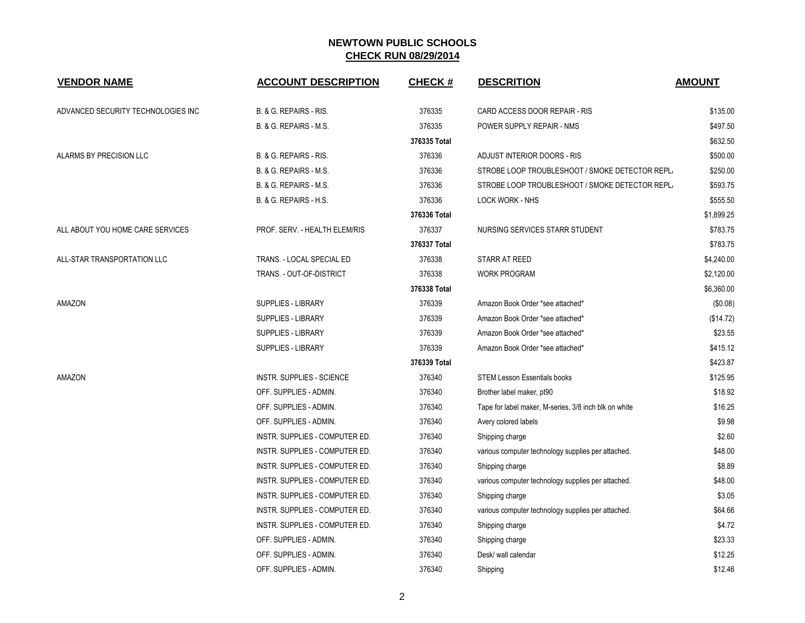| <b>VENDOR NAME</b>                 | <b>ACCOUNT DESCRIPTION</b>     | <b>CHECK#</b> | <b>DESCRITION</b>                                     | <b>AMOUNT</b> |
|------------------------------------|--------------------------------|---------------|-------------------------------------------------------|---------------|
| ADVANCED SECURITY TECHNOLOGIES INC | B. & G. REPAIRS - RIS.         | 376335        | CARD ACCESS DOOR REPAIR - RIS                         | \$135.00      |
|                                    | B. & G. REPAIRS - M.S.         | 376335        | POWER SUPPLY REPAIR - NMS                             | \$497.50      |
|                                    |                                | 376335 Total  |                                                       | \$632.50      |
| ALARMS BY PRECISION LLC            | B. & G. REPAIRS - RIS.         | 376336        | ADJUST INTERIOR DOORS - RIS                           | \$500.00      |
|                                    | B. & G. REPAIRS - M.S.         | 376336        | STROBE LOOP TROUBLESHOOT / SMOKE DETECTOR REPL/       | \$250.00      |
|                                    | B. & G. REPAIRS - M.S.         | 376336        | STROBE LOOP TROUBLESHOOT / SMOKE DETECTOR REPL/       | \$593.75      |
|                                    | B. & G. REPAIRS - H.S.         | 376336        | <b>LOCK WORK - NHS</b>                                | \$555.50      |
|                                    |                                | 376336 Total  |                                                       | \$1,899.25    |
| ALL ABOUT YOU HOME CARE SERVICES   | PROF. SERV. - HEALTH ELEM/RIS  | 376337        | NURSING SERVICES STARR STUDENT                        | \$783.75      |
|                                    |                                | 376337 Total  |                                                       | \$783.75      |
| ALL-STAR TRANSPORTATION LLC        | TRANS. - LOCAL SPECIAL ED      | 376338        | STARR AT REED                                         | \$4,240.00    |
|                                    | TRANS. - OUT-OF-DISTRICT       | 376338        | <b>WORK PROGRAM</b>                                   | \$2,120.00    |
|                                    |                                | 376338 Total  |                                                       | \$6,360.00    |
| AMAZON                             | <b>SUPPLIES - LIBRARY</b>      | 376339        | Amazon Book Order *see attached*                      | (\$0.08)      |
|                                    | <b>SUPPLIES - LIBRARY</b>      | 376339        | Amazon Book Order *see attached*                      | (\$14.72)     |
|                                    | <b>SUPPLIES - LIBRARY</b>      | 376339        | Amazon Book Order *see attached*                      | \$23.55       |
|                                    | SUPPLIES - LIBRARY             | 376339        | Amazon Book Order *see attached*                      | \$415.12      |
|                                    |                                | 376339 Total  |                                                       | \$423.87      |
| AMAZON                             | INSTR. SUPPLIES - SCIENCE      | 376340        | <b>STEM Lesson Essentials books</b>                   | \$125.95      |
|                                    | OFF. SUPPLIES - ADMIN.         | 376340        | Brother label maker, pt90                             | \$18.92       |
|                                    | OFF. SUPPLIES - ADMIN.         | 376340        | Tape for label maker, M-series, 3/8 inch blk on white | \$16.25       |
|                                    | OFF. SUPPLIES - ADMIN.         | 376340        | Avery colored labels                                  | \$9.98        |
|                                    | INSTR. SUPPLIES - COMPUTER ED. | 376340        | Shipping charge                                       | \$2.60        |
|                                    | INSTR. SUPPLIES - COMPUTER ED. | 376340        | various computer technology supplies per attached.    | \$48.00       |
|                                    | INSTR. SUPPLIES - COMPUTER ED. | 376340        | Shipping charge                                       | \$8.89        |
|                                    | INSTR. SUPPLIES - COMPUTER ED. | 376340        | various computer technology supplies per attached.    | \$48.00       |
|                                    | INSTR. SUPPLIES - COMPUTER ED. | 376340        | Shipping charge                                       | \$3.05        |
|                                    | INSTR. SUPPLIES - COMPUTER ED. | 376340        | various computer technology supplies per attached.    | \$64.66       |
|                                    | INSTR. SUPPLIES - COMPUTER ED. | 376340        | Shipping charge                                       | \$4.72        |
|                                    | OFF. SUPPLIES - ADMIN.         | 376340        | Shipping charge                                       | \$23.33       |
|                                    | OFF. SUPPLIES - ADMIN.         | 376340        | Desk/ wall calendar                                   | \$12.25       |
|                                    | OFF. SUPPLIES - ADMIN.         | 376340        | Shipping                                              | \$12.46       |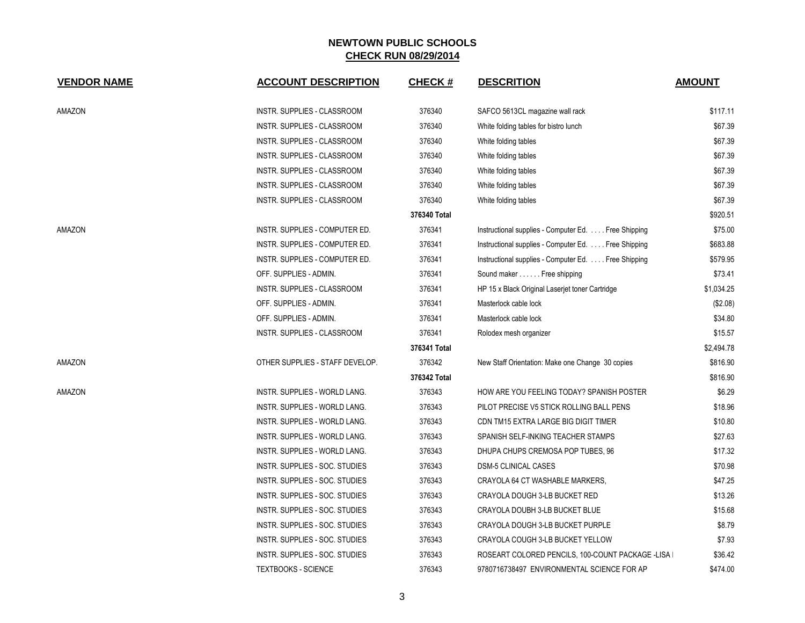| <b>VENDOR NAME</b> | <b>ACCOUNT DESCRIPTION</b>      | <b>CHECK#</b> | <b>DESCRITION</b>                                    | <b>AMOUNT</b> |
|--------------------|---------------------------------|---------------|------------------------------------------------------|---------------|
|                    |                                 |               |                                                      |               |
| AMAZON             | INSTR. SUPPLIES - CLASSROOM     | 376340        | SAFCO 5613CL magazine wall rack                      | \$117.11      |
|                    | INSTR. SUPPLIES - CLASSROOM     | 376340        | White folding tables for bistro lunch                | \$67.39       |
|                    | INSTR. SUPPLIES - CLASSROOM     | 376340        | White folding tables                                 | \$67.39       |
|                    | INSTR. SUPPLIES - CLASSROOM     | 376340        | White folding tables                                 | \$67.39       |
|                    | INSTR. SUPPLIES - CLASSROOM     | 376340        | White folding tables                                 | \$67.39       |
|                    | INSTR. SUPPLIES - CLASSROOM     | 376340        | White folding tables                                 | \$67.39       |
|                    | INSTR. SUPPLIES - CLASSROOM     | 376340        | White folding tables                                 | \$67.39       |
|                    |                                 | 376340 Total  |                                                      | \$920.51      |
| AMAZON             | INSTR. SUPPLIES - COMPUTER ED.  | 376341        | Instructional supplies - Computer Ed.  Free Shipping | \$75.00       |
|                    | INSTR. SUPPLIES - COMPUTER ED.  | 376341        | Instructional supplies - Computer Ed. Free Shipping  | \$683.88      |
|                    | INSTR. SUPPLIES - COMPUTER ED.  | 376341        | Instructional supplies - Computer Ed. Free Shipping  | \$579.95      |
|                    | OFF. SUPPLIES - ADMIN.          | 376341        | Sound maker Free shipping                            | \$73.41       |
|                    | INSTR. SUPPLIES - CLASSROOM     | 376341        | HP 15 x Black Original Laserjet toner Cartridge      | \$1,034.25    |
|                    | OFF. SUPPLIES - ADMIN.          | 376341        | Masterlock cable lock                                | (\$2.08)      |
|                    | OFF. SUPPLIES - ADMIN.          | 376341        | Masterlock cable lock                                | \$34.80       |
|                    | INSTR. SUPPLIES - CLASSROOM     | 376341        | Rolodex mesh organizer                               | \$15.57       |
|                    |                                 | 376341 Total  |                                                      | \$2,494.78    |
| AMAZON             | OTHER SUPPLIES - STAFF DEVELOP. | 376342        | New Staff Orientation: Make one Change 30 copies     | \$816.90      |
|                    |                                 | 376342 Total  |                                                      | \$816.90      |
| AMAZON             | INSTR. SUPPLIES - WORLD LANG.   | 376343        | HOW ARE YOU FEELING TODAY? SPANISH POSTER            | \$6.29        |
|                    | INSTR. SUPPLIES - WORLD LANG.   | 376343        | PILOT PRECISE V5 STICK ROLLING BALL PENS             | \$18.96       |
|                    | INSTR. SUPPLIES - WORLD LANG.   | 376343        | CDN TM15 EXTRA LARGE BIG DIGIT TIMER                 | \$10.80       |
|                    | INSTR. SUPPLIES - WORLD LANG.   | 376343        | SPANISH SELF-INKING TEACHER STAMPS                   | \$27.63       |
|                    | INSTR. SUPPLIES - WORLD LANG.   | 376343        | DHUPA CHUPS CREMOSA POP TUBES, 96                    | \$17.32       |
|                    | INSTR. SUPPLIES - SOC. STUDIES  | 376343        | <b>DSM-5 CLINICAL CASES</b>                          | \$70.98       |
|                    | INSTR. SUPPLIES - SOC. STUDIES  | 376343        | CRAYOLA 64 CT WASHABLE MARKERS,                      | \$47.25       |
|                    | INSTR. SUPPLIES - SOC. STUDIES  | 376343        | CRAYOLA DOUGH 3-LB BUCKET RED                        | \$13.26       |
|                    | INSTR. SUPPLIES - SOC. STUDIES  | 376343        | CRAYOLA DOUBH 3-LB BUCKET BLUE                       | \$15.68       |
|                    | INSTR. SUPPLIES - SOC. STUDIES  | 376343        | CRAYOLA DOUGH 3-LB BUCKET PURPLE                     | \$8.79        |
|                    | INSTR. SUPPLIES - SOC. STUDIES  | 376343        | CRAYOLA COUGH 3-LB BUCKET YELLOW                     | \$7.93        |
|                    | INSTR. SUPPLIES - SOC. STUDIES  | 376343        | ROSEART COLORED PENCILS, 100-COUNT PACKAGE -LISA I   | \$36.42       |
|                    | <b>TEXTBOOKS - SCIENCE</b>      | 376343        | 9780716738497 ENVIRONMENTAL SCIENCE FOR AP           | \$474.00      |
|                    |                                 |               |                                                      |               |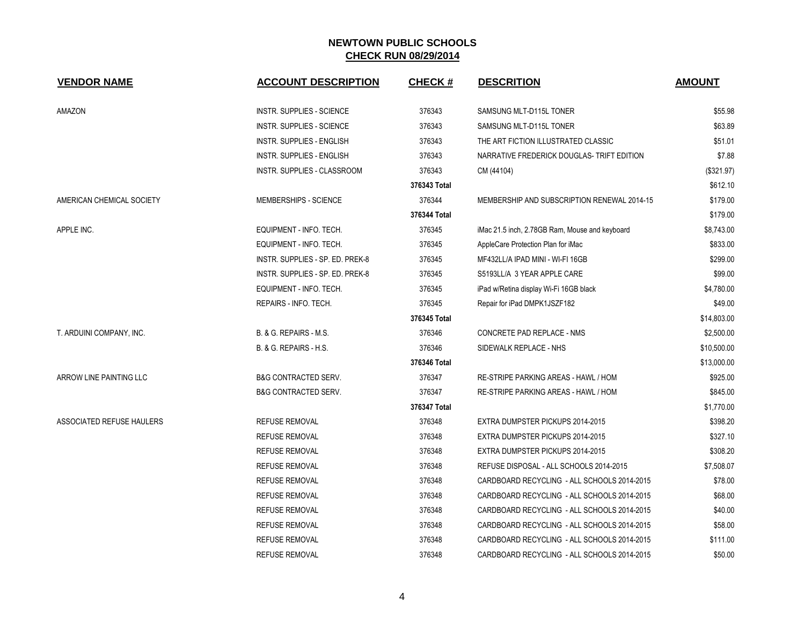| <b>VENDOR NAME</b>        | <b>ACCOUNT DESCRIPTION</b>         | <b>CHECK#</b> | <b>DESCRITION</b>                              | <b>AMOUNT</b> |
|---------------------------|------------------------------------|---------------|------------------------------------------------|---------------|
| AMAZON                    | INSTR. SUPPLIES - SCIENCE          | 376343        | SAMSUNG MLT-D115L TONER                        | \$55.98       |
|                           | <b>INSTR. SUPPLIES - SCIENCE</b>   | 376343        | SAMSUNG MLT-D115L TONER                        | \$63.89       |
|                           | <b>INSTR. SUPPLIES - ENGLISH</b>   | 376343        | THE ART FICTION ILLUSTRATED CLASSIC            | \$51.01       |
|                           | <b>INSTR. SUPPLIES - ENGLISH</b>   | 376343        | NARRATIVE FREDERICK DOUGLAS- TRIFT EDITION     | \$7.88        |
|                           | <b>INSTR. SUPPLIES - CLASSROOM</b> | 376343        | CM (44104)                                     | (\$321.97)    |
|                           |                                    | 376343 Total  |                                                | \$612.10      |
| AMERICAN CHEMICAL SOCIETY | MEMBERSHIPS - SCIENCE              | 376344        | MEMBERSHIP AND SUBSCRIPTION RENEWAL 2014-15    | \$179.00      |
|                           |                                    | 376344 Total  |                                                | \$179.00      |
| APPLE INC.                | EQUIPMENT - INFO. TECH.            | 376345        | iMac 21.5 inch, 2.78GB Ram, Mouse and keyboard | \$8,743.00    |
|                           | EQUIPMENT - INFO. TECH.            | 376345        | AppleCare Protection Plan for iMac             | \$833.00      |
|                           | INSTR. SUPPLIES - SP. ED. PREK-8   | 376345        | MF432LL/A IPAD MINI - WI-FI 16GB               | \$299.00      |
|                           | INSTR. SUPPLIES - SP. ED. PREK-8   | 376345        | S5193LL/A 3 YEAR APPLE CARE                    | \$99.00       |
|                           | EQUIPMENT - INFO. TECH.            | 376345        | iPad w/Retina display Wi-Fi 16GB black         | \$4,780.00    |
|                           | REPAIRS - INFO. TECH.              | 376345        | Repair for iPad DMPK1JSZF182                   | \$49.00       |
|                           |                                    | 376345 Total  |                                                | \$14,803.00   |
| T. ARDUINI COMPANY, INC.  | B. & G. REPAIRS - M.S.             | 376346        | CONCRETE PAD REPLACE - NMS                     | \$2,500.00    |
|                           | B. & G. REPAIRS - H.S.             | 376346        | SIDEWALK REPLACE - NHS                         | \$10,500.00   |
|                           |                                    | 376346 Total  |                                                | \$13,000.00   |
| ARROW LINE PAINTING LLC   | <b>B&amp;G CONTRACTED SERV.</b>    | 376347        | RE-STRIPE PARKING AREAS - HAWL / HOM           | \$925.00      |
|                           | <b>B&amp;G CONTRACTED SERV.</b>    | 376347        | RE-STRIPE PARKING AREAS - HAWL / HOM           | \$845.00      |
|                           |                                    | 376347 Total  |                                                | \$1,770.00    |
| ASSOCIATED REFUSE HAULERS | <b>REFUSE REMOVAL</b>              | 376348        | EXTRA DUMPSTER PICKUPS 2014-2015               | \$398.20      |
|                           | <b>REFUSE REMOVAL</b>              | 376348        | EXTRA DUMPSTER PICKUPS 2014-2015               | \$327.10      |
|                           | <b>REFUSE REMOVAL</b>              | 376348        | EXTRA DUMPSTER PICKUPS 2014-2015               | \$308.20      |
|                           | <b>REFUSE REMOVAL</b>              | 376348        | REFUSE DISPOSAL - ALL SCHOOLS 2014-2015        | \$7,508.07    |
|                           | <b>REFUSE REMOVAL</b>              | 376348        | CARDBOARD RECYCLING - ALL SCHOOLS 2014-2015    | \$78.00       |
|                           | <b>REFUSE REMOVAL</b>              | 376348        | CARDBOARD RECYCLING - ALL SCHOOLS 2014-2015    | \$68.00       |
|                           | <b>REFUSE REMOVAL</b>              | 376348        | CARDBOARD RECYCLING - ALL SCHOOLS 2014-2015    | \$40.00       |
|                           | <b>REFUSE REMOVAL</b>              | 376348        | CARDBOARD RECYCLING - ALL SCHOOLS 2014-2015    | \$58.00       |
|                           | <b>REFUSE REMOVAL</b>              | 376348        | CARDBOARD RECYCLING - ALL SCHOOLS 2014-2015    | \$111.00      |
|                           | <b>REFUSE REMOVAL</b>              | 376348        | CARDBOARD RECYCLING - ALL SCHOOLS 2014-2015    | \$50.00       |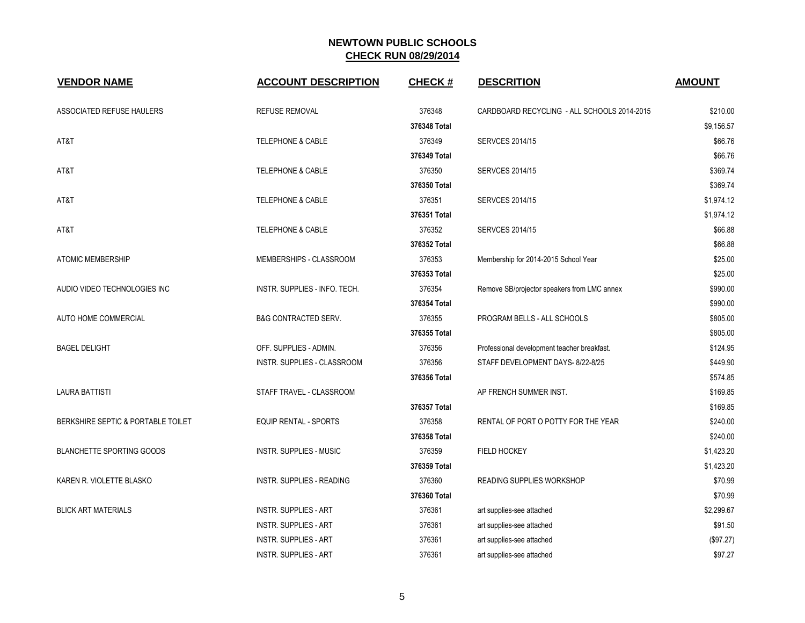| <b>VENDOR NAME</b>                 | <b>ACCOUNT DESCRIPTION</b>      | <b>CHECK#</b> | <b>DESCRITION</b>                           | <b>AMOUNT</b> |
|------------------------------------|---------------------------------|---------------|---------------------------------------------|---------------|
| ASSOCIATED REFUSE HAULERS          | <b>REFUSE REMOVAL</b>           | 376348        | CARDBOARD RECYCLING - ALL SCHOOLS 2014-2015 | \$210.00      |
|                                    |                                 | 376348 Total  |                                             | \$9,156.57    |
| AT&T                               | <b>TELEPHONE &amp; CABLE</b>    | 376349        | <b>SERVCES 2014/15</b>                      | \$66.76       |
|                                    |                                 | 376349 Total  |                                             | \$66.76       |
| AT&T                               | <b>TELEPHONE &amp; CABLE</b>    | 376350        | <b>SERVCES 2014/15</b>                      | \$369.74      |
|                                    |                                 | 376350 Total  |                                             | \$369.74      |
| AT&T                               | <b>TELEPHONE &amp; CABLE</b>    | 376351        | <b>SERVCES 2014/15</b>                      | \$1,974.12    |
|                                    |                                 | 376351 Total  |                                             | \$1,974.12    |
| AT&T                               | <b>TELEPHONE &amp; CABLE</b>    | 376352        | <b>SERVCES 2014/15</b>                      | \$66.88       |
|                                    |                                 | 376352 Total  |                                             | \$66.88       |
| <b>ATOMIC MEMBERSHIP</b>           | MEMBERSHIPS - CLASSROOM         | 376353        | Membership for 2014-2015 School Year        | \$25.00       |
|                                    |                                 | 376353 Total  |                                             | \$25.00       |
| AUDIO VIDEO TECHNOLOGIES INC       | INSTR. SUPPLIES - INFO. TECH.   | 376354        | Remove SB/projector speakers from LMC annex | \$990.00      |
|                                    |                                 | 376354 Total  |                                             | \$990.00      |
| AUTO HOME COMMERCIAL               | <b>B&amp;G CONTRACTED SERV.</b> | 376355        | PROGRAM BELLS - ALL SCHOOLS                 | \$805.00      |
|                                    |                                 | 376355 Total  |                                             | \$805.00      |
| <b>BAGEL DELIGHT</b>               | OFF. SUPPLIES - ADMIN.          | 376356        | Professional development teacher breakfast. | \$124.95      |
|                                    | INSTR. SUPPLIES - CLASSROOM     | 376356        | STAFF DEVELOPMENT DAYS- 8/22-8/25           | \$449.90      |
|                                    |                                 | 376356 Total  |                                             | \$574.85      |
| <b>LAURA BATTISTI</b>              | STAFF TRAVEL - CLASSROOM        |               | AP FRENCH SUMMER INST.                      | \$169.85      |
|                                    |                                 | 376357 Total  |                                             | \$169.85      |
| BERKSHIRE SEPTIC & PORTABLE TOILET | <b>EQUIP RENTAL - SPORTS</b>    | 376358        | RENTAL OF PORT O POTTY FOR THE YEAR         | \$240.00      |
|                                    |                                 | 376358 Total  |                                             | \$240.00      |
| <b>BLANCHETTE SPORTING GOODS</b>   | INSTR. SUPPLIES - MUSIC         | 376359        | <b>FIELD HOCKEY</b>                         | \$1,423.20    |
|                                    |                                 | 376359 Total  |                                             | \$1,423.20    |
| KAREN R. VIOLETTE BLASKO           | INSTR. SUPPLIES - READING       | 376360        | READING SUPPLIES WORKSHOP                   | \$70.99       |
|                                    |                                 | 376360 Total  |                                             | \$70.99       |
| <b>BLICK ART MATERIALS</b>         | <b>INSTR. SUPPLIES - ART</b>    | 376361        | art supplies-see attached                   | \$2,299.67    |
|                                    | <b>INSTR. SUPPLIES - ART</b>    | 376361        | art supplies-see attached                   | \$91.50       |
|                                    | <b>INSTR. SUPPLIES - ART</b>    | 376361        | art supplies-see attached                   | (\$97.27)     |
|                                    | <b>INSTR. SUPPLIES - ART</b>    | 376361        | art supplies-see attached                   | \$97.27       |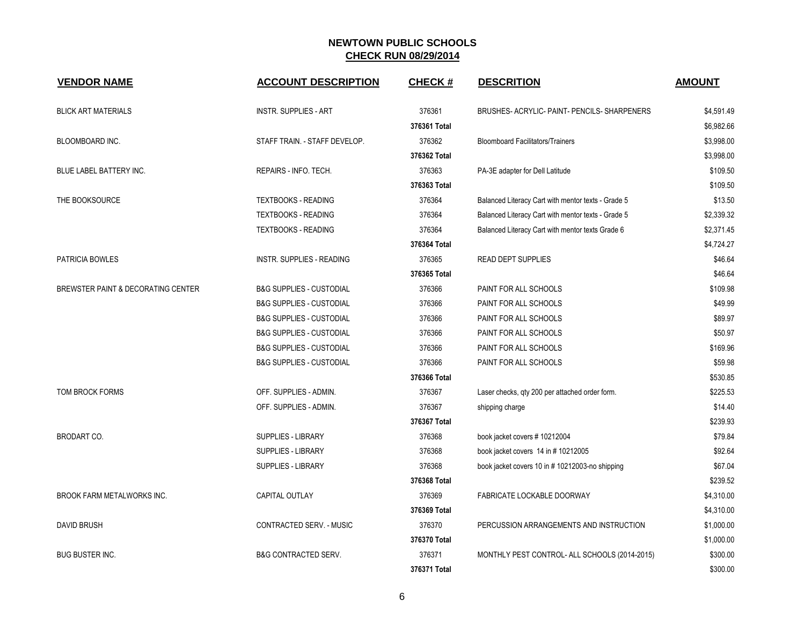| <b>VENDOR NAME</b>                 | <b>ACCOUNT DESCRIPTION</b>          | <b>CHECK#</b> | <b>DESCRITION</b>                                  | <b>AMOUNT</b> |
|------------------------------------|-------------------------------------|---------------|----------------------------------------------------|---------------|
| <b>BLICK ART MATERIALS</b>         | <b>INSTR. SUPPLIES - ART</b>        | 376361        | BRUSHES- ACRYLIC- PAINT- PENCILS- SHARPENERS       | \$4,591.49    |
|                                    |                                     | 376361 Total  |                                                    | \$6,982.66    |
| BLOOMBOARD INC.                    | STAFF TRAIN. - STAFF DEVELOP.       | 376362        | <b>Bloomboard Facilitators/Trainers</b>            | \$3,998.00    |
|                                    |                                     | 376362 Total  |                                                    | \$3,998.00    |
| BLUE LABEL BATTERY INC.            | REPAIRS - INFO. TECH.               | 376363        | PA-3E adapter for Dell Latitude                    | \$109.50      |
|                                    |                                     | 376363 Total  |                                                    | \$109.50      |
| THE BOOKSOURCE                     | <b>TEXTBOOKS - READING</b>          | 376364        | Balanced Literacy Cart with mentor texts - Grade 5 | \$13.50       |
|                                    | <b>TEXTBOOKS - READING</b>          | 376364        | Balanced Literacy Cart with mentor texts - Grade 5 | \$2,339.32    |
|                                    | <b>TEXTBOOKS - READING</b>          | 376364        | Balanced Literacy Cart with mentor texts Grade 6   | \$2,371.45    |
|                                    |                                     | 376364 Total  |                                                    | \$4,724.27    |
| PATRICIA BOWLES                    | <b>INSTR. SUPPLIES - READING</b>    | 376365        | <b>READ DEPT SUPPLIES</b>                          | \$46.64       |
|                                    |                                     | 376365 Total  |                                                    | \$46.64       |
| BREWSTER PAINT & DECORATING CENTER | <b>B&amp;G SUPPLIES - CUSTODIAL</b> | 376366        | PAINT FOR ALL SCHOOLS                              | \$109.98      |
|                                    | <b>B&amp;G SUPPLIES - CUSTODIAL</b> | 376366        | PAINT FOR ALL SCHOOLS                              | \$49.99       |
|                                    | <b>B&amp;G SUPPLIES - CUSTODIAL</b> | 376366        | PAINT FOR ALL SCHOOLS                              | \$89.97       |
|                                    | <b>B&amp;G SUPPLIES - CUSTODIAL</b> | 376366        | PAINT FOR ALL SCHOOLS                              | \$50.97       |
|                                    | <b>B&amp;G SUPPLIES - CUSTODIAL</b> | 376366        | PAINT FOR ALL SCHOOLS                              | \$169.96      |
|                                    | <b>B&amp;G SUPPLIES - CUSTODIAL</b> | 376366        | PAINT FOR ALL SCHOOLS                              | \$59.98       |
|                                    |                                     | 376366 Total  |                                                    | \$530.85      |
| TOM BROCK FORMS                    | OFF. SUPPLIES - ADMIN.              | 376367        | Laser checks, qty 200 per attached order form.     | \$225.53      |
|                                    | OFF. SUPPLIES - ADMIN.              | 376367        | shipping charge                                    | \$14.40       |
|                                    |                                     | 376367 Total  |                                                    | \$239.93      |
| <b>BRODART CO.</b>                 | <b>SUPPLIES - LIBRARY</b>           | 376368        | book jacket covers # 10212004                      | \$79.84       |
|                                    | <b>SUPPLIES - LIBRARY</b>           | 376368        | book jacket covers 14 in #10212005                 | \$92.64       |
|                                    | <b>SUPPLIES - LIBRARY</b>           | 376368        | book jacket covers 10 in #10212003-no shipping     | \$67.04       |
|                                    |                                     | 376368 Total  |                                                    | \$239.52      |
| <b>BROOK FARM METALWORKS INC.</b>  | CAPITAL OUTLAY                      | 376369        | FABRICATE LOCKABLE DOORWAY                         | \$4,310.00    |
|                                    |                                     | 376369 Total  |                                                    | \$4,310.00    |
| <b>DAVID BRUSH</b>                 | CONTRACTED SERV. - MUSIC            | 376370        | PERCUSSION ARRANGEMENTS AND INSTRUCTION            | \$1,000.00    |
|                                    |                                     | 376370 Total  |                                                    | \$1,000.00    |
| <b>BUG BUSTER INC.</b>             | <b>B&amp;G CONTRACTED SERV.</b>     | 376371        | MONTHLY PEST CONTROL- ALL SCHOOLS (2014-2015)      | \$300.00      |
|                                    |                                     | 376371 Total  |                                                    | \$300.00      |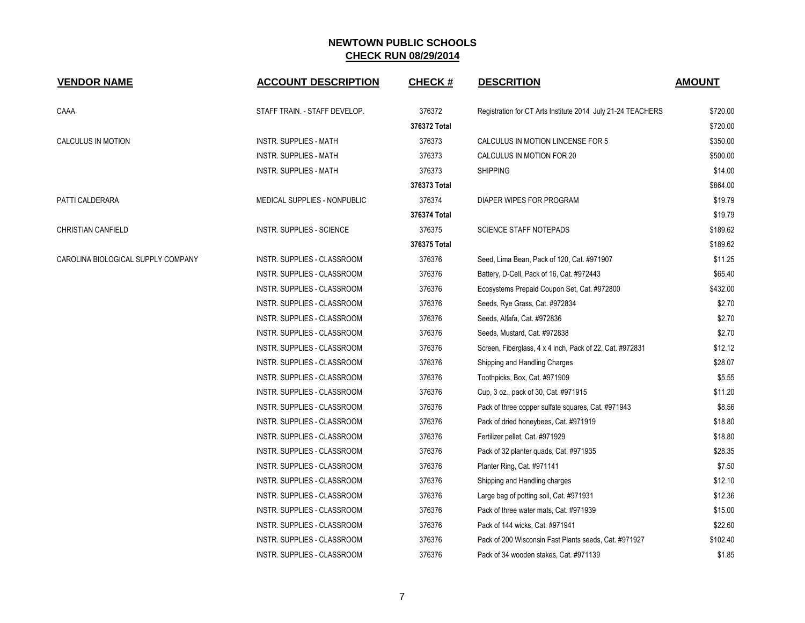| <b>VENDOR NAME</b>                 | <b>ACCOUNT DESCRIPTION</b>         | <b>CHECK#</b> | <b>DESCRITION</b>                                           | <b>AMOUNT</b> |
|------------------------------------|------------------------------------|---------------|-------------------------------------------------------------|---------------|
| CAAA                               | STAFF TRAIN. - STAFF DEVELOP.      | 376372        | Registration for CT Arts Institute 2014 July 21-24 TEACHERS | \$720.00      |
|                                    |                                    | 376372 Total  |                                                             | \$720.00      |
| CALCULUS IN MOTION                 | <b>INSTR. SUPPLIES - MATH</b>      | 376373        | CALCULUS IN MOTION LINCENSE FOR 5                           | \$350.00      |
|                                    | <b>INSTR. SUPPLIES - MATH</b>      | 376373        | CALCULUS IN MOTION FOR 20                                   | \$500.00      |
|                                    | <b>INSTR. SUPPLIES - MATH</b>      | 376373        | <b>SHIPPING</b>                                             | \$14.00       |
|                                    |                                    | 376373 Total  |                                                             | \$864.00      |
| PATTI CALDERARA                    | MEDICAL SUPPLIES - NONPUBLIC       | 376374        | DIAPER WIPES FOR PROGRAM                                    | \$19.79       |
|                                    |                                    | 376374 Total  |                                                             | \$19.79       |
| <b>CHRISTIAN CANFIELD</b>          | INSTR. SUPPLIES - SCIENCE          | 376375        | <b>SCIENCE STAFF NOTEPADS</b>                               | \$189.62      |
|                                    |                                    | 376375 Total  |                                                             | \$189.62      |
| CAROLINA BIOLOGICAL SUPPLY COMPANY | INSTR. SUPPLIES - CLASSROOM        | 376376        | Seed, Lima Bean, Pack of 120, Cat. #971907                  | \$11.25       |
|                                    | INSTR. SUPPLIES - CLASSROOM        | 376376        | Battery, D-Cell, Pack of 16, Cat. #972443                   | \$65.40       |
|                                    | INSTR. SUPPLIES - CLASSROOM        | 376376        | Ecosystems Prepaid Coupon Set, Cat. #972800                 | \$432.00      |
|                                    | INSTR. SUPPLIES - CLASSROOM        | 376376        | Seeds, Rye Grass, Cat. #972834                              | \$2.70        |
|                                    | INSTR. SUPPLIES - CLASSROOM        | 376376        | Seeds, Alfafa, Cat. #972836                                 | \$2.70        |
|                                    | INSTR. SUPPLIES - CLASSROOM        | 376376        | Seeds, Mustard, Cat. #972838                                | \$2.70        |
|                                    | INSTR. SUPPLIES - CLASSROOM        | 376376        | Screen, Fiberglass, 4 x 4 inch, Pack of 22, Cat. #972831    | \$12.12       |
|                                    | INSTR. SUPPLIES - CLASSROOM        | 376376        | Shipping and Handling Charges                               | \$28.07       |
|                                    | INSTR. SUPPLIES - CLASSROOM        | 376376        | Toothpicks, Box, Cat. #971909                               | \$5.55        |
|                                    | INSTR. SUPPLIES - CLASSROOM        | 376376        | Cup, 3 oz., pack of 30, Cat. #971915                        | \$11.20       |
|                                    | INSTR. SUPPLIES - CLASSROOM        | 376376        | Pack of three copper sulfate squares, Cat. #971943          | \$8.56        |
|                                    | INSTR. SUPPLIES - CLASSROOM        | 376376        | Pack of dried honeybees, Cat. #971919                       | \$18.80       |
|                                    | INSTR. SUPPLIES - CLASSROOM        | 376376        | Fertilizer pellet, Cat. #971929                             | \$18.80       |
|                                    | INSTR. SUPPLIES - CLASSROOM        | 376376        | Pack of 32 planter quads, Cat. #971935                      | \$28.35       |
|                                    | INSTR. SUPPLIES - CLASSROOM        | 376376        | Planter Ring, Cat. #971141                                  | \$7.50        |
|                                    | INSTR. SUPPLIES - CLASSROOM        | 376376        | Shipping and Handling charges                               | \$12.10       |
|                                    | INSTR. SUPPLIES - CLASSROOM        | 376376        | Large bag of potting soil, Cat. #971931                     | \$12.36       |
|                                    | INSTR. SUPPLIES - CLASSROOM        | 376376        | Pack of three water mats, Cat. #971939                      | \$15.00       |
|                                    | INSTR. SUPPLIES - CLASSROOM        | 376376        | Pack of 144 wicks, Cat. #971941                             | \$22.60       |
|                                    | INSTR. SUPPLIES - CLASSROOM        | 376376        | Pack of 200 Wisconsin Fast Plants seeds, Cat. #971927       | \$102.40      |
|                                    | <b>INSTR. SUPPLIES - CLASSROOM</b> | 376376        | Pack of 34 wooden stakes, Cat. #971139                      | \$1.85        |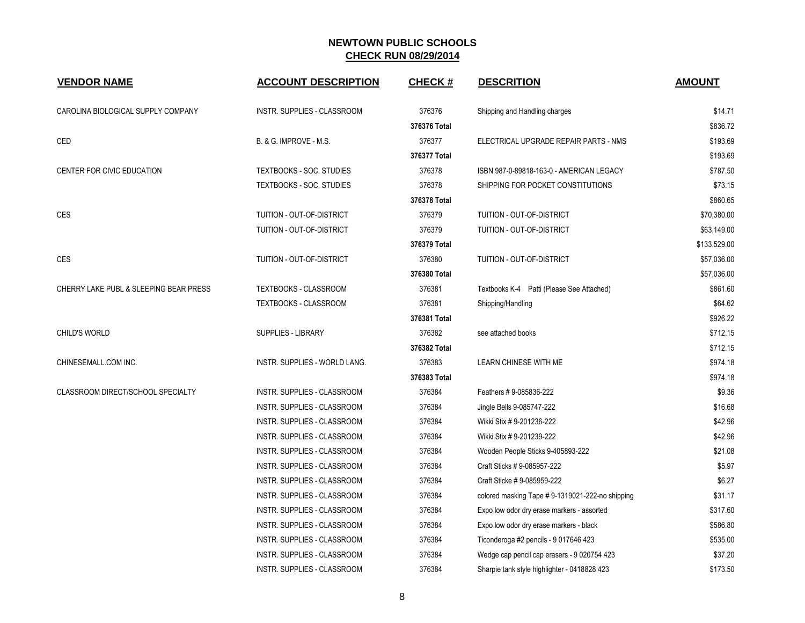| <b>VENDOR NAME</b>                     | <b>ACCOUNT DESCRIPTION</b>         | <b>CHECK#</b> | <b>DESCRITION</b>                               | <b>AMOUNT</b> |
|----------------------------------------|------------------------------------|---------------|-------------------------------------------------|---------------|
| CAROLINA BIOLOGICAL SUPPLY COMPANY     | INSTR. SUPPLIES - CLASSROOM        | 376376        | Shipping and Handling charges                   | \$14.71       |
|                                        |                                    | 376376 Total  |                                                 | \$836.72      |
| <b>CED</b>                             | <b>B. &amp; G. IMPROVE - M.S.</b>  | 376377        | ELECTRICAL UPGRADE REPAIR PARTS - NMS           | \$193.69      |
|                                        |                                    | 376377 Total  |                                                 | \$193.69      |
| CENTER FOR CIVIC EDUCATION             | TEXTBOOKS - SOC. STUDIES           | 376378        | ISBN 987-0-89818-163-0 - AMERICAN LEGACY        | \$787.50      |
|                                        | TEXTBOOKS - SOC. STUDIES           | 376378        | SHIPPING FOR POCKET CONSTITUTIONS               | \$73.15       |
|                                        |                                    | 376378 Total  |                                                 | \$860.65      |
| CES                                    | <b>TUITION - OUT-OF-DISTRICT</b>   | 376379        | TUITION - OUT-OF-DISTRICT                       | \$70,380.00   |
|                                        | TUITION - OUT-OF-DISTRICT          | 376379        | TUITION - OUT-OF-DISTRICT                       | \$63,149.00   |
|                                        |                                    | 376379 Total  |                                                 | \$133,529.00  |
| <b>CES</b>                             | TUITION - OUT-OF-DISTRICT          | 376380        | TUITION - OUT-OF-DISTRICT                       | \$57,036.00   |
|                                        |                                    | 376380 Total  |                                                 | \$57,036.00   |
| CHERRY LAKE PUBL & SLEEPING BEAR PRESS | TEXTBOOKS - CLASSROOM              | 376381        | Textbooks K-4 Patti (Please See Attached)       | \$861.60      |
|                                        | TEXTBOOKS - CLASSROOM              | 376381        | Shipping/Handling                               | \$64.62       |
|                                        |                                    | 376381 Total  |                                                 | \$926.22      |
| CHILD'S WORLD                          | <b>SUPPLIES - LIBRARY</b>          | 376382        | see attached books                              | \$712.15      |
|                                        |                                    | 376382 Total  |                                                 | \$712.15      |
| CHINESEMALL.COM INC.                   | INSTR. SUPPLIES - WORLD LANG.      | 376383        | LEARN CHINESE WITH ME                           | \$974.18      |
|                                        |                                    | 376383 Total  |                                                 | \$974.18      |
| CLASSROOM DIRECT/SCHOOL SPECIALTY      | <b>INSTR. SUPPLIES - CLASSROOM</b> | 376384        | Feathers # 9-085836-222                         | \$9.36        |
|                                        | INSTR. SUPPLIES - CLASSROOM        | 376384        | Jingle Bells 9-085747-222                       | \$16.68       |
|                                        | INSTR. SUPPLIES - CLASSROOM        | 376384        | Wikki Stix # 9-201236-222                       | \$42.96       |
|                                        | INSTR. SUPPLIES - CLASSROOM        | 376384        | Wikki Stix # 9-201239-222                       | \$42.96       |
|                                        | INSTR. SUPPLIES - CLASSROOM        | 376384        | Wooden People Sticks 9-405893-222               | \$21.08       |
|                                        | INSTR. SUPPLIES - CLASSROOM        | 376384        | Craft Sticks # 9-085957-222                     | \$5.97        |
|                                        | INSTR. SUPPLIES - CLASSROOM        | 376384        | Craft Sticke # 9-085959-222                     | \$6.27        |
|                                        | INSTR. SUPPLIES - CLASSROOM        | 376384        | colored masking Tape #9-1319021-222-no shipping | \$31.17       |
|                                        | <b>INSTR. SUPPLIES - CLASSROOM</b> | 376384        | Expo low odor dry erase markers - assorted      | \$317.60      |
|                                        | INSTR. SUPPLIES - CLASSROOM        | 376384        | Expo low odor dry erase markers - black         | \$586.80      |
|                                        | INSTR. SUPPLIES - CLASSROOM        | 376384        | Ticonderoga #2 pencils - 9 017646 423           | \$535.00      |
|                                        | INSTR. SUPPLIES - CLASSROOM        | 376384        | Wedge cap pencil cap erasers - 9 020754 423     | \$37.20       |
|                                        | INSTR. SUPPLIES - CLASSROOM        | 376384        | Sharpie tank style highlighter - 0418828 423    | \$173.50      |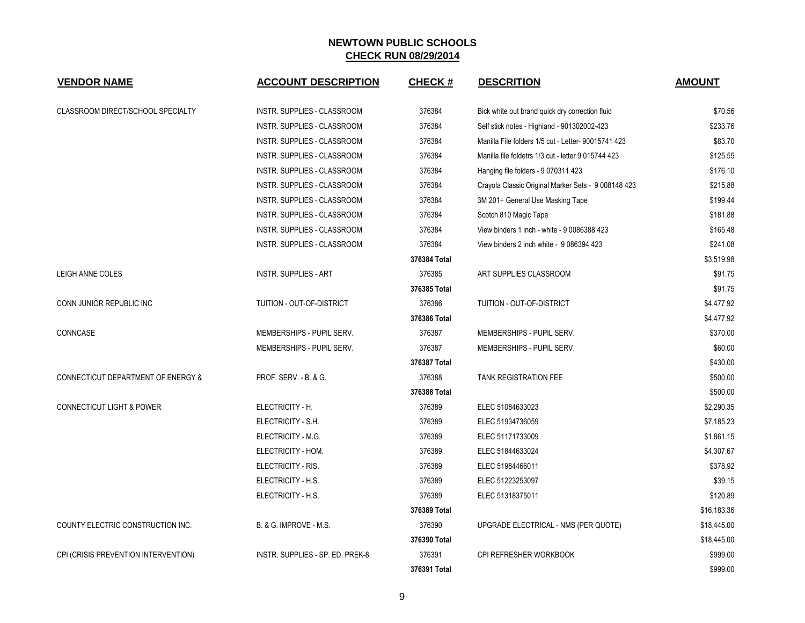| <b>VENDOR NAME</b>                       | <b>ACCOUNT DESCRIPTION</b>         | <b>CHECK#</b> | <b>DESCRITION</b>                                   | <b>AMOUNT</b> |
|------------------------------------------|------------------------------------|---------------|-----------------------------------------------------|---------------|
| <b>CLASSROOM DIRECT/SCHOOL SPECIALTY</b> | <b>INSTR. SUPPLIES - CLASSROOM</b> | 376384        | Bick white out brand quick dry correction fluid     | \$70.56       |
|                                          | INSTR. SUPPLIES - CLASSROOM        | 376384        | Self stick notes - Highland - 901302002-423         | \$233.76      |
|                                          | INSTR. SUPPLIES - CLASSROOM        | 376384        | Manilla File folders 1/5 cut - Letter- 90015741 423 | \$83.70       |
|                                          | INSTR. SUPPLIES - CLASSROOM        | 376384        | Manilla file foldetrs 1/3 cut - letter 9 015744 423 | \$125.55      |
|                                          | INSTR. SUPPLIES - CLASSROOM        | 376384        | Hanging file folders - 9 070311 423                 | \$176.10      |
|                                          | INSTR. SUPPLIES - CLASSROOM        | 376384        | Crayola Classic Original Marker Sets - 9 008148 423 | \$215.88      |
|                                          | INSTR. SUPPLIES - CLASSROOM        | 376384        | 3M 201+ General Use Masking Tape                    | \$199.44      |
|                                          | INSTR. SUPPLIES - CLASSROOM        | 376384        | Scotch 810 Magic Tape                               | \$181.88      |
|                                          | INSTR. SUPPLIES - CLASSROOM        | 376384        | View binders 1 inch - white - 9 0086388 423         | \$165.48      |
|                                          | INSTR. SUPPLIES - CLASSROOM        | 376384        | View binders 2 inch white - 9 086394 423            | \$241.08      |
|                                          |                                    | 376384 Total  |                                                     | \$3,519.98    |
| LEIGH ANNE COLES                         | <b>INSTR. SUPPLIES - ART</b>       | 376385        | ART SUPPLIES CLASSROOM                              | \$91.75       |
|                                          |                                    | 376385 Total  |                                                     | \$91.75       |
| CONN JUNIOR REPUBLIC INC                 | TUITION - OUT-OF-DISTRICT          | 376386        | TUITION - OUT-OF-DISTRICT                           | \$4,477.92    |
|                                          |                                    | 376386 Total  |                                                     | \$4,477.92    |
| CONNCASE                                 | MEMBERSHIPS - PUPIL SERV.          | 376387        | MEMBERSHIPS - PUPIL SERV.                           | \$370.00      |
|                                          | MEMBERSHIPS - PUPIL SERV.          | 376387        | MEMBERSHIPS - PUPIL SERV.                           | \$60.00       |
|                                          |                                    | 376387 Total  |                                                     | \$430.00      |
| CONNECTICUT DEPARTMENT OF ENERGY &       | PROF. SERV. - B. & G.              | 376388        | <b>TANK REGISTRATION FEE</b>                        | \$500.00      |
|                                          |                                    | 376388 Total  |                                                     | \$500.00      |
| <b>CONNECTICUT LIGHT &amp; POWER</b>     | ELECTRICITY - H.                   | 376389        | ELEC 51084633023                                    | \$2,290.35    |
|                                          | ELECTRICITY - S.H.                 | 376389        | ELEC 51934736059                                    | \$7,185.23    |
|                                          | ELECTRICITY - M.G.                 | 376389        | ELEC 51171733009                                    | \$1,861.15    |
|                                          | ELECTRICITY - HOM.                 | 376389        | ELEC 51844633024                                    | \$4,307.67    |
|                                          | ELECTRICITY - RIS.                 | 376389        | ELEC 51984466011                                    | \$378.92      |
|                                          | ELECTRICITY - H.S.                 | 376389        | ELEC 51223253097                                    | \$39.15       |
|                                          | ELECTRICITY - H.S.                 | 376389        | ELEC 51318375011                                    | \$120.89      |
|                                          |                                    | 376389 Total  |                                                     | \$16,183.36   |
| COUNTY ELECTRIC CONSTRUCTION INC.        | B. & G. IMPROVE - M.S.             | 376390        | UPGRADE ELECTRICAL - NMS (PER QUOTE)                | \$18,445.00   |
|                                          |                                    | 376390 Total  |                                                     | \$18,445.00   |
| CPI (CRISIS PREVENTION INTERVENTION)     | INSTR. SUPPLIES - SP. ED. PREK-8   | 376391        | CPI REFRESHER WORKBOOK                              | \$999.00      |
|                                          |                                    | 376391 Total  |                                                     | \$999.00      |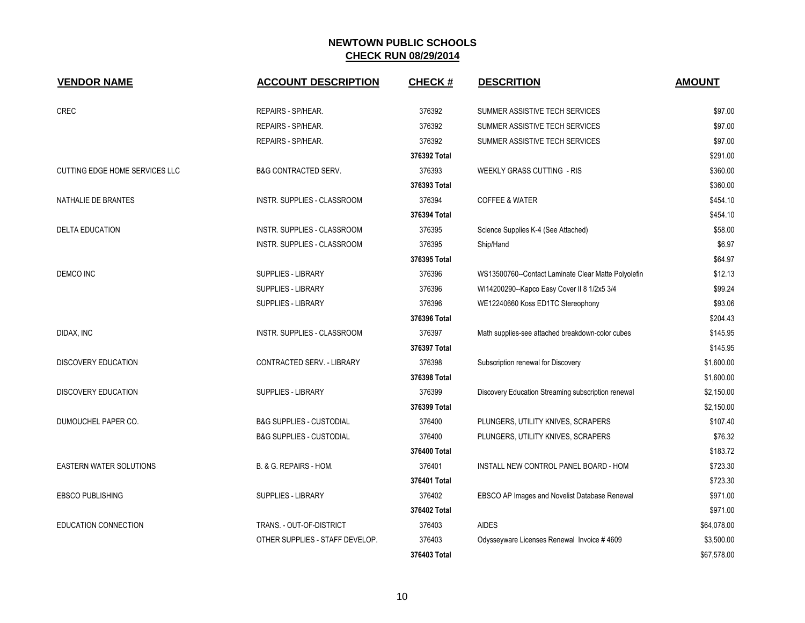| <b>VENDOR NAME</b>             | <b>ACCOUNT DESCRIPTION</b>          | <b>CHECK#</b> | <b>DESCRITION</b>                                   | <b>AMOUNT</b> |
|--------------------------------|-------------------------------------|---------------|-----------------------------------------------------|---------------|
| <b>CREC</b>                    | REPAIRS - SP/HEAR.                  | 376392        | SUMMER ASSISTIVE TECH SERVICES                      | \$97.00       |
|                                | REPAIRS - SP/HEAR.                  | 376392        | SUMMER ASSISTIVE TECH SERVICES                      | \$97.00       |
|                                | REPAIRS - SP/HEAR.                  | 376392        | SUMMER ASSISTIVE TECH SERVICES                      | \$97.00       |
|                                |                                     | 376392 Total  |                                                     | \$291.00      |
| CUTTING EDGE HOME SERVICES LLC | <b>B&amp;G CONTRACTED SERV.</b>     | 376393        | <b>WEEKLY GRASS CUTTING - RIS</b>                   | \$360.00      |
|                                |                                     | 376393 Total  |                                                     | \$360.00      |
| NATHALIE DE BRANTES            | INSTR. SUPPLIES - CLASSROOM         | 376394        | <b>COFFEE &amp; WATER</b>                           | \$454.10      |
|                                |                                     | 376394 Total  |                                                     | \$454.10      |
| <b>DELTA EDUCATION</b>         | INSTR. SUPPLIES - CLASSROOM         | 376395        | Science Supplies K-4 (See Attached)                 | \$58.00       |
|                                | INSTR. SUPPLIES - CLASSROOM         | 376395        | Ship/Hand                                           | \$6.97        |
|                                |                                     | 376395 Total  |                                                     | \$64.97       |
| <b>DEMCO INC</b>               | SUPPLIES - LIBRARY                  | 376396        | WS13500760--Contact Laminate Clear Matte Polyolefin | \$12.13       |
|                                | SUPPLIES - LIBRARY                  | 376396        | WI14200290--Kapco Easy Cover II 8 1/2x5 3/4         | \$99.24       |
|                                | SUPPLIES - LIBRARY                  | 376396        | WE12240660 Koss ED1TC Stereophony                   | \$93.06       |
|                                |                                     | 376396 Total  |                                                     | \$204.43      |
| DIDAX, INC                     | <b>INSTR. SUPPLIES - CLASSROOM</b>  | 376397        | Math supplies-see attached breakdown-color cubes    | \$145.95      |
|                                |                                     | 376397 Total  |                                                     | \$145.95      |
| <b>DISCOVERY EDUCATION</b>     | CONTRACTED SERV. - LIBRARY          | 376398        | Subscription renewal for Discovery                  | \$1,600.00    |
|                                |                                     | 376398 Total  |                                                     | \$1,600.00    |
| DISCOVERY EDUCATION            | <b>SUPPLIES - LIBRARY</b>           | 376399        | Discovery Education Streaming subscription renewal  | \$2,150.00    |
|                                |                                     | 376399 Total  |                                                     | \$2,150.00    |
| DUMOUCHEL PAPER CO.            | <b>B&amp;G SUPPLIES - CUSTODIAL</b> | 376400        | PLUNGERS, UTILITY KNIVES, SCRAPERS                  | \$107.40      |
|                                | <b>B&amp;G SUPPLIES - CUSTODIAL</b> | 376400        | PLUNGERS, UTILITY KNIVES, SCRAPERS                  | \$76.32       |
|                                |                                     | 376400 Total  |                                                     | \$183.72      |
| <b>EASTERN WATER SOLUTIONS</b> | B. & G. REPAIRS - HOM.              | 376401        | INSTALL NEW CONTROL PANEL BOARD - HOM               | \$723.30      |
|                                |                                     | 376401 Total  |                                                     | \$723.30      |
| <b>EBSCO PUBLISHING</b>        | <b>SUPPLIES - LIBRARY</b>           | 376402        | EBSCO AP Images and Novelist Database Renewal       | \$971.00      |
|                                |                                     | 376402 Total  |                                                     | \$971.00      |
| EDUCATION CONNECTION           | TRANS. - OUT-OF-DISTRICT            | 376403        | <b>AIDES</b>                                        | \$64,078.00   |
|                                | OTHER SUPPLIES - STAFF DEVELOP.     | 376403        | Odysseyware Licenses Renewal Invoice #4609          | \$3,500.00    |
|                                |                                     | 376403 Total  |                                                     | \$67,578.00   |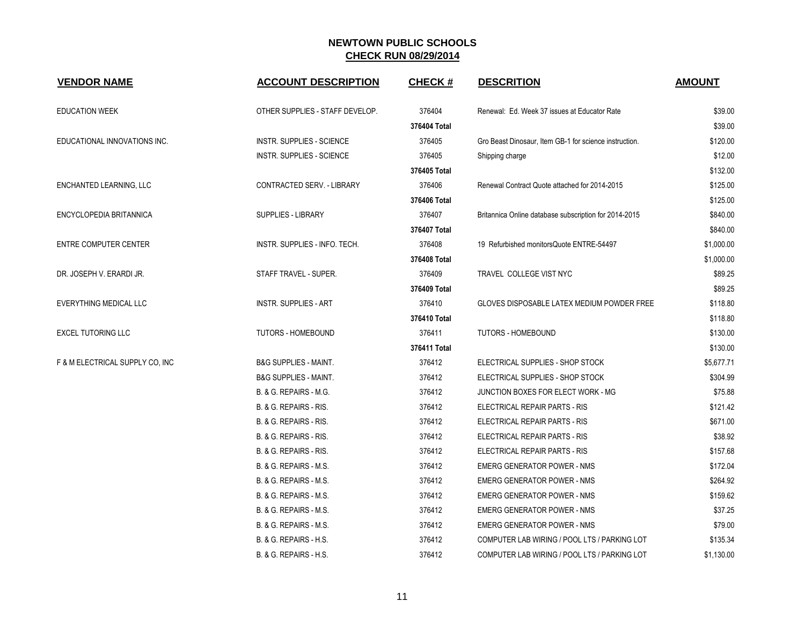| <b>VENDOR NAME</b>              | <b>ACCOUNT DESCRIPTION</b>       | <b>CHECK#</b> | <b>DESCRITION</b>                                      | <b>AMOUNT</b> |
|---------------------------------|----------------------------------|---------------|--------------------------------------------------------|---------------|
| <b>EDUCATION WEEK</b>           | OTHER SUPPLIES - STAFF DEVELOP.  | 376404        | Renewal: Ed. Week 37 issues at Educator Rate           | \$39.00       |
|                                 |                                  | 376404 Total  |                                                        | \$39.00       |
| EDUCATIONAL INNOVATIONS INC.    | <b>INSTR. SUPPLIES - SCIENCE</b> | 376405        | Gro Beast Dinosaur, Item GB-1 for science instruction. | \$120.00      |
|                                 | INSTR. SUPPLIES - SCIENCE        | 376405        | Shipping charge                                        | \$12.00       |
|                                 |                                  | 376405 Total  |                                                        | \$132.00      |
| ENCHANTED LEARNING, LLC         | CONTRACTED SERV. - LIBRARY       | 376406        | Renewal Contract Quote attached for 2014-2015          | \$125.00      |
|                                 |                                  | 376406 Total  |                                                        | \$125.00      |
| ENCYCLOPEDIA BRITANNICA         | <b>SUPPLIES - LIBRARY</b>        | 376407        | Britannica Online database subscription for 2014-2015  | \$840.00      |
|                                 |                                  | 376407 Total  |                                                        | \$840.00      |
| <b>ENTRE COMPUTER CENTER</b>    | INSTR. SUPPLIES - INFO. TECH.    | 376408        | 19 Refurbished monitorsQuote ENTRE-54497               | \$1,000.00    |
|                                 |                                  | 376408 Total  |                                                        | \$1,000.00    |
| DR. JOSEPH V. ERARDI JR.        | STAFF TRAVEL - SUPER.            | 376409        | TRAVEL COLLEGE VIST NYC                                | \$89.25       |
|                                 |                                  | 376409 Total  |                                                        | \$89.25       |
| EVERYTHING MEDICAL LLC          | <b>INSTR. SUPPLIES - ART</b>     | 376410        | GLOVES DISPOSABLE LATEX MEDIUM POWDER FREE             | \$118.80      |
|                                 |                                  | 376410 Total  |                                                        | \$118.80      |
| <b>EXCEL TUTORING LLC</b>       | <b>TUTORS - HOMEBOUND</b>        | 376411        | <b>TUTORS - HOMEBOUND</b>                              | \$130.00      |
|                                 |                                  | 376411 Total  |                                                        | \$130.00      |
| F & M ELECTRICAL SUPPLY CO, INC | <b>B&amp;G SUPPLIES - MAINT.</b> | 376412        | ELECTRICAL SUPPLIES - SHOP STOCK                       | \$5,677.71    |
|                                 | <b>B&amp;G SUPPLIES - MAINT.</b> | 376412        | ELECTRICAL SUPPLIES - SHOP STOCK                       | \$304.99      |
|                                 | B. & G. REPAIRS - M.G.           | 376412        | JUNCTION BOXES FOR ELECT WORK - MG                     | \$75.88       |
|                                 | B. & G. REPAIRS - RIS.           | 376412        | ELECTRICAL REPAIR PARTS - RIS                          | \$121.42      |
|                                 | B. & G. REPAIRS - RIS.           | 376412        | ELECTRICAL REPAIR PARTS - RIS                          | \$671.00      |
|                                 | B. & G. REPAIRS - RIS.           | 376412        | ELECTRICAL REPAIR PARTS - RIS                          | \$38.92       |
|                                 | B. & G. REPAIRS - RIS.           | 376412        | ELECTRICAL REPAIR PARTS - RIS                          | \$157.68      |
|                                 | B. & G. REPAIRS - M.S.           | 376412        | <b>EMERG GENERATOR POWER - NMS</b>                     | \$172.04      |
|                                 | B. & G. REPAIRS - M.S.           | 376412        | <b>EMERG GENERATOR POWER - NMS</b>                     | \$264.92      |
|                                 | B. & G. REPAIRS - M.S.           | 376412        | <b>EMERG GENERATOR POWER - NMS</b>                     | \$159.62      |
|                                 | B. & G. REPAIRS - M.S.           | 376412        | <b>EMERG GENERATOR POWER - NMS</b>                     | \$37.25       |
|                                 | B. & G. REPAIRS - M.S.           | 376412        | <b>EMERG GENERATOR POWER - NMS</b>                     | \$79.00       |
|                                 | B. & G. REPAIRS - H.S.           | 376412        | COMPUTER LAB WIRING / POOL LTS / PARKING LOT           | \$135.34      |
|                                 | B. & G. REPAIRS - H.S.           | 376412        | COMPUTER LAB WIRING / POOL LTS / PARKING LOT           | \$1,130.00    |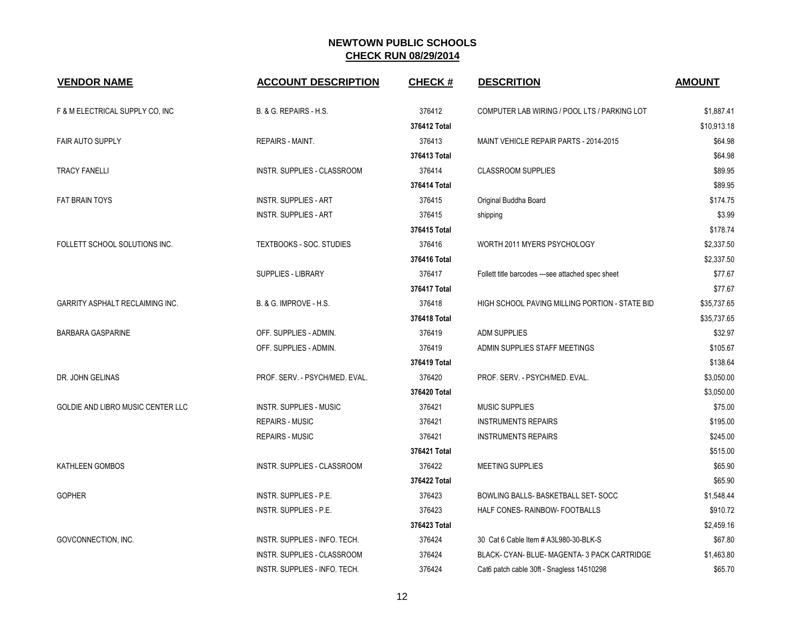| <b>VENDOR NAME</b>                     | <b>ACCOUNT DESCRIPTION</b>        | <b>CHECK#</b> | <b>DESCRITION</b>                                 | <b>AMOUNT</b> |
|----------------------------------------|-----------------------------------|---------------|---------------------------------------------------|---------------|
| F & M ELECTRICAL SUPPLY CO, INC        | B. & G. REPAIRS - H.S.            | 376412        | COMPUTER LAB WIRING / POOL LTS / PARKING LOT      | \$1,887.41    |
|                                        |                                   | 376412 Total  |                                                   | \$10,913.18   |
| <b>FAIR AUTO SUPPLY</b>                | <b>REPAIRS - MAINT.</b>           | 376413        | MAINT VEHICLE REPAIR PARTS - 2014-2015            | \$64.98       |
|                                        |                                   | 376413 Total  |                                                   | \$64.98       |
| <b>TRACY FANELLI</b>                   | INSTR. SUPPLIES - CLASSROOM       | 376414        | <b>CLASSROOM SUPPLIES</b>                         | \$89.95       |
|                                        |                                   | 376414 Total  |                                                   | \$89.95       |
| <b>FAT BRAIN TOYS</b>                  | <b>INSTR. SUPPLIES - ART</b>      | 376415        | Original Buddha Board                             | \$174.75      |
|                                        | <b>INSTR. SUPPLIES - ART</b>      | 376415        | shipping                                          | \$3.99        |
|                                        |                                   | 376415 Total  |                                                   | \$178.74      |
| FOLLETT SCHOOL SOLUTIONS INC.          | TEXTBOOKS - SOC. STUDIES          | 376416        | WORTH 2011 MYERS PSYCHOLOGY                       | \$2,337.50    |
|                                        |                                   | 376416 Total  |                                                   | \$2.337.50    |
|                                        | SUPPLIES - LIBRARY                | 376417        | Follett title barcodes ---see attached spec sheet | \$77.67       |
|                                        |                                   | 376417 Total  |                                                   | \$77.67       |
| <b>GARRITY ASPHALT RECLAIMING INC.</b> | <b>B. &amp; G. IMPROVE - H.S.</b> | 376418        | HIGH SCHOOL PAVING MILLING PORTION - STATE BID    | \$35,737.65   |
|                                        |                                   | 376418 Total  |                                                   | \$35,737.65   |
| <b>BARBARA GASPARINE</b>               | OFF. SUPPLIES - ADMIN.            | 376419        | <b>ADM SUPPLIES</b>                               | \$32.97       |
|                                        | OFF. SUPPLIES - ADMIN.            | 376419        | ADMIN SUPPLIES STAFF MEETINGS                     | \$105.67      |
|                                        |                                   | 376419 Total  |                                                   | \$138.64      |
| DR. JOHN GELINAS                       | PROF. SERV. - PSYCH/MED. EVAL.    | 376420        | PROF. SERV. - PSYCH/MED. EVAL.                    | \$3,050.00    |
|                                        |                                   | 376420 Total  |                                                   | \$3,050.00    |
| GOLDIE AND LIBRO MUSIC CENTER LLC      | <b>INSTR. SUPPLIES - MUSIC</b>    | 376421        | <b>MUSIC SUPPLIES</b>                             | \$75.00       |
|                                        | <b>REPAIRS - MUSIC</b>            | 376421        | <b>INSTRUMENTS REPAIRS</b>                        | \$195.00      |
|                                        | <b>REPAIRS - MUSIC</b>            | 376421        | <b>INSTRUMENTS REPAIRS</b>                        | \$245.00      |
|                                        |                                   | 376421 Total  |                                                   | \$515.00      |
| KATHLEEN GOMBOS                        | INSTR. SUPPLIES - CLASSROOM       | 376422        | <b>MEETING SUPPLIES</b>                           | \$65.90       |
|                                        |                                   | 376422 Total  |                                                   | \$65.90       |
| <b>GOPHER</b>                          | INSTR. SUPPLIES - P.E.            | 376423        | BOWLING BALLS- BASKETBALL SET-SOCC                | \$1,548.44    |
|                                        | INSTR. SUPPLIES - P.E.            | 376423        | HALF CONES- RAINBOW- FOOTBALLS                    | \$910.72      |
|                                        |                                   | 376423 Total  |                                                   | \$2,459.16    |
| GOVCONNECTION, INC.                    | INSTR. SUPPLIES - INFO. TECH.     | 376424        | 30 Cat 6 Cable Item # A3L980-30-BLK-S             | \$67.80       |
|                                        | INSTR. SUPPLIES - CLASSROOM       | 376424        | BLACK- CYAN- BLUE- MAGENTA- 3 PACK CARTRIDGE      | \$1,463.80    |
|                                        | INSTR. SUPPLIES - INFO. TECH.     | 376424        | Cat6 patch cable 30ft - Snagless 14510298         | \$65.70       |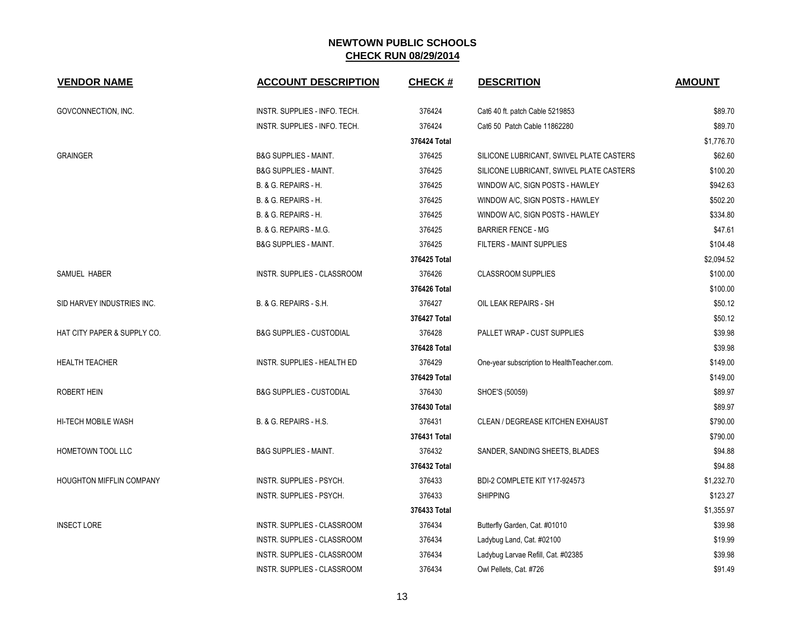| <b>VENDOR NAME</b>          | <b>ACCOUNT DESCRIPTION</b>          | <b>CHECK#</b> | <b>DESCRITION</b>                            | <b>AMOUNT</b> |
|-----------------------------|-------------------------------------|---------------|----------------------------------------------|---------------|
| GOVCONNECTION, INC.         | INSTR. SUPPLIES - INFO. TECH.       | 376424        | Cat6 40 ft. patch Cable 5219853              | \$89.70       |
|                             | INSTR. SUPPLIES - INFO. TECH.       | 376424        | Cat6 50 Patch Cable 11862280                 | \$89.70       |
|                             |                                     | 376424 Total  |                                              | \$1,776.70    |
| <b>GRAINGER</b>             | <b>B&amp;G SUPPLIES - MAINT.</b>    | 376425        | SILICONE LUBRICANT, SWIVEL PLATE CASTERS     | \$62.60       |
|                             | <b>B&amp;G SUPPLIES - MAINT.</b>    | 376425        | SILICONE LUBRICANT, SWIVEL PLATE CASTERS     | \$100.20      |
|                             | B. & G. REPAIRS - H.                | 376425        | WINDOW A/C, SIGN POSTS - HAWLEY              | \$942.63      |
|                             | B. & G. REPAIRS - H.                | 376425        | WINDOW A/C, SIGN POSTS - HAWLEY              | \$502.20      |
|                             | B. & G. REPAIRS - H.                | 376425        | WINDOW A/C, SIGN POSTS - HAWLEY              | \$334.80      |
|                             | B. & G. REPAIRS - M.G.              | 376425        | <b>BARRIER FENCE - MG</b>                    | \$47.61       |
|                             | <b>B&amp;G SUPPLIES - MAINT.</b>    | 376425        | FILTERS - MAINT SUPPLIES                     | \$104.48      |
|                             |                                     | 376425 Total  |                                              | \$2,094.52    |
| SAMUEL HABER                | INSTR. SUPPLIES - CLASSROOM         | 376426        | <b>CLASSROOM SUPPLIES</b>                    | \$100.00      |
|                             |                                     | 376426 Total  |                                              | \$100.00      |
| SID HARVEY INDUSTRIES INC.  | B. & G. REPAIRS - S.H.              | 376427        | OIL LEAK REPAIRS - SH                        | \$50.12       |
|                             |                                     | 376427 Total  |                                              | \$50.12       |
| HAT CITY PAPER & SUPPLY CO. | <b>B&amp;G SUPPLIES - CUSTODIAL</b> | 376428        | PALLET WRAP - CUST SUPPLIES                  | \$39.98       |
|                             |                                     | 376428 Total  |                                              | \$39.98       |
| <b>HEALTH TEACHER</b>       | INSTR. SUPPLIES - HEALTH ED         | 376429        | One-year subscription to Health Teacher.com. | \$149.00      |
|                             |                                     | 376429 Total  |                                              | \$149.00      |
| <b>ROBERT HEIN</b>          | <b>B&amp;G SUPPLIES - CUSTODIAL</b> | 376430        | SHOE'S (50059)                               | \$89.97       |
|                             |                                     | 376430 Total  |                                              | \$89.97       |
| HI-TECH MOBILE WASH         | B. & G. REPAIRS - H.S.              | 376431        | CLEAN / DEGREASE KITCHEN EXHAUST             | \$790.00      |
|                             |                                     | 376431 Total  |                                              | \$790.00      |
| HOMETOWN TOOL LLC           | <b>B&amp;G SUPPLIES - MAINT.</b>    | 376432        | SANDER, SANDING SHEETS, BLADES               | \$94.88       |
|                             |                                     | 376432 Total  |                                              | \$94.88       |
| HOUGHTON MIFFLIN COMPANY    | INSTR. SUPPLIES - PSYCH.            | 376433        | BDI-2 COMPLETE KIT Y17-924573                | \$1,232.70    |
|                             | INSTR. SUPPLIES - PSYCH.            | 376433        | <b>SHIPPING</b>                              | \$123.27      |
|                             |                                     | 376433 Total  |                                              | \$1,355.97    |
| <b>INSECT LORE</b>          | INSTR. SUPPLIES - CLASSROOM         | 376434        | Butterfly Garden, Cat. #01010                | \$39.98       |
|                             | INSTR. SUPPLIES - CLASSROOM         | 376434        | Ladybug Land, Cat. #02100                    | \$19.99       |
|                             | INSTR. SUPPLIES - CLASSROOM         | 376434        | Ladybug Larvae Refill, Cat. #02385           | \$39.98       |
|                             | INSTR. SUPPLIES - CLASSROOM         | 376434        | Owl Pellets, Cat. #726                       | \$91.49       |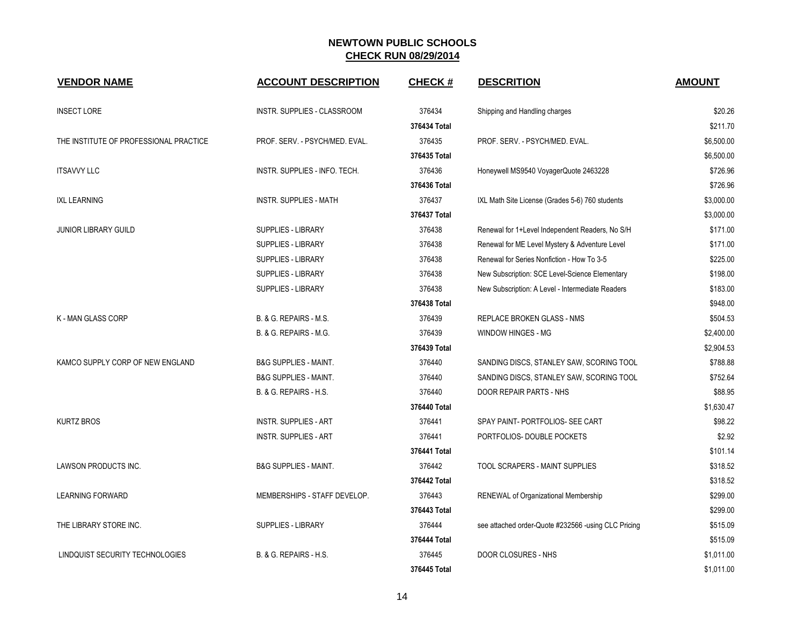| <b>VENDOR NAME</b>                     | <b>ACCOUNT DESCRIPTION</b>       | <b>CHECK#</b> | <b>DESCRITION</b>                                   | <b>AMOUNT</b> |
|----------------------------------------|----------------------------------|---------------|-----------------------------------------------------|---------------|
| <b>INSECT LORE</b>                     | INSTR. SUPPLIES - CLASSROOM      | 376434        | Shipping and Handling charges                       | \$20.26       |
|                                        |                                  | 376434 Total  |                                                     | \$211.70      |
| THE INSTITUTE OF PROFESSIONAL PRACTICE | PROF. SERV. - PSYCH/MED. EVAL.   | 376435        | PROF. SERV. - PSYCH/MED. EVAL.                      | \$6,500.00    |
|                                        |                                  | 376435 Total  |                                                     | \$6,500.00    |
| <b>ITSAVVY LLC</b>                     | INSTR. SUPPLIES - INFO. TECH.    | 376436        | Honeywell MS9540 VoyagerQuote 2463228               | \$726.96      |
|                                        |                                  | 376436 Total  |                                                     | \$726.96      |
| <b>IXL LEARNING</b>                    | <b>INSTR. SUPPLIES - MATH</b>    | 376437        | IXL Math Site License (Grades 5-6) 760 students     | \$3,000.00    |
|                                        |                                  | 376437 Total  |                                                     | \$3,000.00    |
| <b>JUNIOR LIBRARY GUILD</b>            | <b>SUPPLIES - LIBRARY</b>        | 376438        | Renewal for 1+Level Independent Readers, No S/H     | \$171.00      |
|                                        | <b>SUPPLIES - LIBRARY</b>        | 376438        | Renewal for ME Level Mystery & Adventure Level      | \$171.00      |
|                                        | SUPPLIES - LIBRARY               | 376438        | Renewal for Series Nonfiction - How To 3-5          | \$225.00      |
|                                        | SUPPLIES - LIBRARY               | 376438        | New Subscription: SCE Level-Science Elementary      | \$198.00      |
|                                        | SUPPLIES - LIBRARY               | 376438        | New Subscription: A Level - Intermediate Readers    | \$183.00      |
|                                        |                                  | 376438 Total  |                                                     | \$948.00      |
| <b>K - MAN GLASS CORP</b>              | B. & G. REPAIRS - M.S.           | 376439        | <b>REPLACE BROKEN GLASS - NMS</b>                   | \$504.53      |
|                                        | B. & G. REPAIRS - M.G.           | 376439        | WINDOW HINGES - MG                                  | \$2,400.00    |
|                                        |                                  | 376439 Total  |                                                     | \$2,904.53    |
| KAMCO SUPPLY CORP OF NEW ENGLAND       | <b>B&amp;G SUPPLIES - MAINT.</b> | 376440        | SANDING DISCS, STANLEY SAW, SCORING TOOL            | \$788.88      |
|                                        | <b>B&amp;G SUPPLIES - MAINT.</b> | 376440        | SANDING DISCS, STANLEY SAW, SCORING TOOL            | \$752.64      |
|                                        | B. & G. REPAIRS - H.S.           | 376440        | DOOR REPAIR PARTS - NHS                             | \$88.95       |
|                                        |                                  | 376440 Total  |                                                     | \$1,630.47    |
| <b>KURTZ BROS</b>                      | <b>INSTR. SUPPLIES - ART</b>     | 376441        | SPAY PAINT- PORTFOLIOS- SEE CART                    | \$98.22       |
|                                        | <b>INSTR. SUPPLIES - ART</b>     | 376441        | PORTFOLIOS-DOUBLE POCKETS                           | \$2.92        |
|                                        |                                  | 376441 Total  |                                                     | \$101.14      |
| LAWSON PRODUCTS INC.                   | <b>B&amp;G SUPPLIES - MAINT.</b> | 376442        | TOOL SCRAPERS - MAINT SUPPLIES                      | \$318.52      |
|                                        |                                  | 376442 Total  |                                                     | \$318.52      |
| <b>LEARNING FORWARD</b>                | MEMBERSHIPS - STAFF DEVELOP.     | 376443        | RENEWAL of Organizational Membership                | \$299.00      |
|                                        |                                  | 376443 Total  |                                                     | \$299.00      |
| THE LIBRARY STORE INC.                 | SUPPLIES - LIBRARY               | 376444        | see attached order-Quote #232566 -using CLC Pricing | \$515.09      |
|                                        |                                  | 376444 Total  |                                                     | \$515.09      |
| LINDQUIST SECURITY TECHNOLOGIES        | B. & G. REPAIRS - H.S.           | 376445        | DOOR CLOSURES - NHS                                 | \$1,011.00    |
|                                        |                                  | 376445 Total  |                                                     | \$1,011.00    |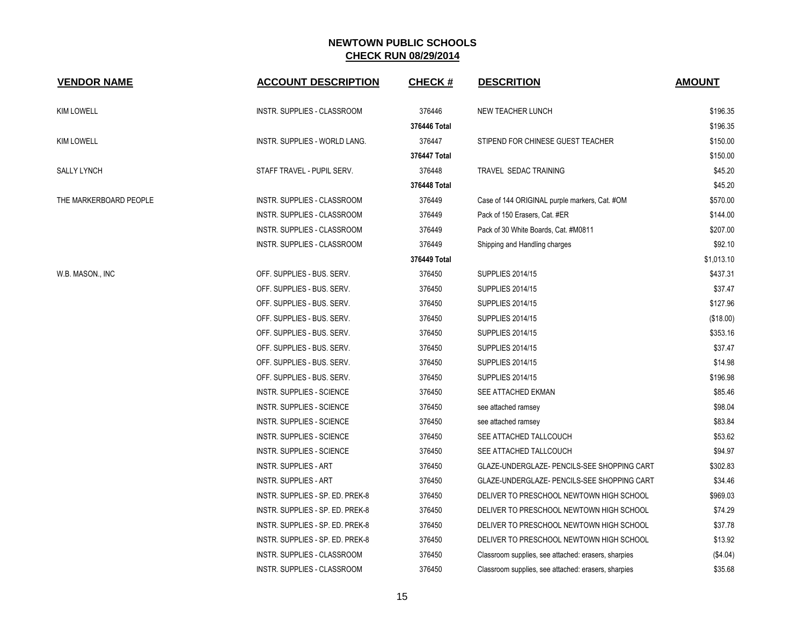| <b>VENDOR NAME</b>     | <b>ACCOUNT DESCRIPTION</b>       | <b>CHECK#</b> | <b>DESCRITION</b>                                   | <b>AMOUNT</b> |
|------------------------|----------------------------------|---------------|-----------------------------------------------------|---------------|
| <b>KIM LOWELL</b>      | INSTR. SUPPLIES - CLASSROOM      | 376446        | NEW TEACHER LUNCH                                   | \$196.35      |
|                        |                                  | 376446 Total  |                                                     | \$196.35      |
| <b>KIM LOWELL</b>      | INSTR. SUPPLIES - WORLD LANG.    | 376447        | STIPEND FOR CHINESE GUEST TEACHER                   | \$150.00      |
|                        |                                  | 376447 Total  |                                                     | \$150.00      |
| <b>SALLY LYNCH</b>     | STAFF TRAVEL - PUPIL SERV.       | 376448        | <b>TRAVEL SEDAC TRAINING</b>                        | \$45.20       |
|                        |                                  | 376448 Total  |                                                     | \$45.20       |
| THE MARKERBOARD PEOPLE | INSTR. SUPPLIES - CLASSROOM      | 376449        | Case of 144 ORIGINAL purple markers, Cat. #OM       | \$570.00      |
|                        | INSTR. SUPPLIES - CLASSROOM      | 376449        | Pack of 150 Erasers, Cat. #ER                       | \$144.00      |
|                        | INSTR. SUPPLIES - CLASSROOM      | 376449        | Pack of 30 White Boards, Cat. #M0811                | \$207.00      |
|                        | INSTR. SUPPLIES - CLASSROOM      | 376449        | Shipping and Handling charges                       | \$92.10       |
|                        |                                  | 376449 Total  |                                                     | \$1,013.10    |
| W.B. MASON., INC       | OFF. SUPPLIES - BUS. SERV.       | 376450        | <b>SUPPLIES 2014/15</b>                             | \$437.31      |
|                        | OFF. SUPPLIES - BUS. SERV.       | 376450        | <b>SUPPLIES 2014/15</b>                             | \$37.47       |
|                        | OFF. SUPPLIES - BUS. SERV.       | 376450        | <b>SUPPLIES 2014/15</b>                             | \$127.96      |
|                        | OFF. SUPPLIES - BUS. SERV.       | 376450        | <b>SUPPLIES 2014/15</b>                             | (\$18.00)     |
|                        | OFF. SUPPLIES - BUS. SERV.       | 376450        | <b>SUPPLIES 2014/15</b>                             | \$353.16      |
|                        | OFF. SUPPLIES - BUS. SERV.       | 376450        | <b>SUPPLIES 2014/15</b>                             | \$37.47       |
|                        | OFF. SUPPLIES - BUS. SERV.       | 376450        | <b>SUPPLIES 2014/15</b>                             | \$14.98       |
|                        | OFF. SUPPLIES - BUS. SERV.       | 376450        | <b>SUPPLIES 2014/15</b>                             | \$196.98      |
|                        | INSTR. SUPPLIES - SCIENCE        | 376450        | SEE ATTACHED EKMAN                                  | \$85.46       |
|                        | INSTR. SUPPLIES - SCIENCE        | 376450        | see attached ramsey                                 | \$98.04       |
|                        | <b>INSTR. SUPPLIES - SCIENCE</b> | 376450        | see attached ramsey                                 | \$83.84       |
|                        | INSTR. SUPPLIES - SCIENCE        | 376450        | SEE ATTACHED TALLCOUCH                              | \$53.62       |
|                        | INSTR. SUPPLIES - SCIENCE        | 376450        | SEE ATTACHED TALLCOUCH                              | \$94.97       |
|                        | <b>INSTR. SUPPLIES - ART</b>     | 376450        | GLAZE-UNDERGLAZE- PENCILS-SEE SHOPPING CART         | \$302.83      |
|                        | <b>INSTR. SUPPLIES - ART</b>     | 376450        | GLAZE-UNDERGLAZE- PENCILS-SEE SHOPPING CART         | \$34.46       |
|                        | INSTR. SUPPLIES - SP. ED. PREK-8 | 376450        | DELIVER TO PRESCHOOL NEWTOWN HIGH SCHOOL            | \$969.03      |
|                        | INSTR. SUPPLIES - SP. ED. PREK-8 | 376450        | DELIVER TO PRESCHOOL NEWTOWN HIGH SCHOOL            | \$74.29       |
|                        | INSTR. SUPPLIES - SP. ED. PREK-8 | 376450        | DELIVER TO PRESCHOOL NEWTOWN HIGH SCHOOL            | \$37.78       |
|                        | INSTR. SUPPLIES - SP. ED. PREK-8 | 376450        | DELIVER TO PRESCHOOL NEWTOWN HIGH SCHOOL            | \$13.92       |
|                        | INSTR. SUPPLIES - CLASSROOM      | 376450        | Classroom supplies, see attached: erasers, sharpies | (\$4.04)      |
|                        | INSTR. SUPPLIES - CLASSROOM      | 376450        | Classroom supplies, see attached: erasers, sharpies | \$35.68       |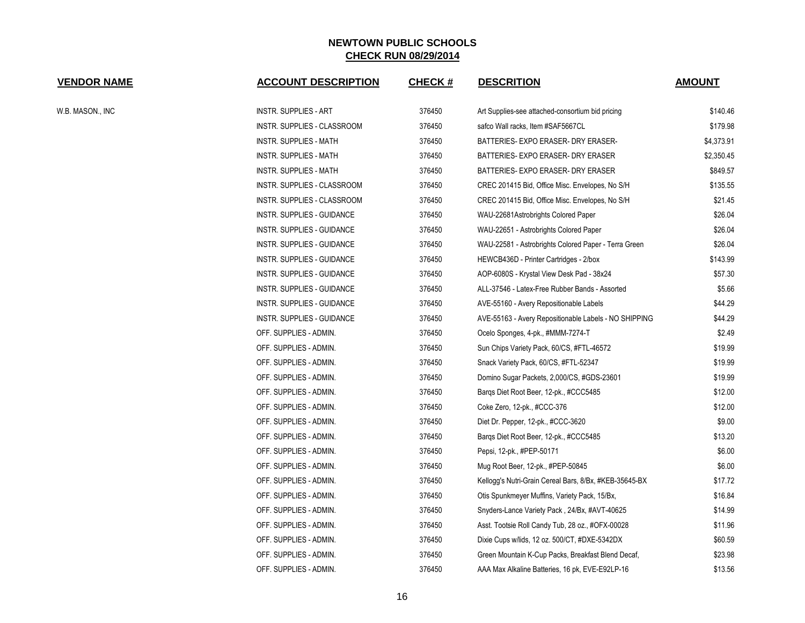| <b>VENDOR NAME</b> | <b>ACCOUNT DESCRIPTION</b>   | <b>CHECK#</b> | <b>DESCRITION</b>                                      | <b>AMOUNT</b> |
|--------------------|------------------------------|---------------|--------------------------------------------------------|---------------|
| W.B. MASON., INC   | <b>INSTR. SUPPLIES - ART</b> | 376450        | Art Supplies-see attached-consortium bid pricing       | \$140.46      |
|                    | INSTR. SUPPLIES - CLASSROOM  | 376450        | safco Wall racks, Item #SAF5667CL                      | \$179.98      |
|                    | INSTR. SUPPLIES - MATH       | 376450        | BATTERIES- EXPO ERASER- DRY ERASER-                    | \$4,373.91    |
|                    | INSTR. SUPPLIES - MATH       | 376450        | BATTERIES- EXPO ERASER- DRY ERASER                     | \$2,350.45    |
|                    | INSTR. SUPPLIES - MATH       | 376450        | BATTERIES- EXPO ERASER- DRY ERASER                     | \$849.57      |
|                    | INSTR. SUPPLIES - CLASSROOM  | 376450        | CREC 201415 Bid, Office Misc. Envelopes, No S/H        | \$135.55      |
|                    | INSTR. SUPPLIES - CLASSROOM  | 376450        | CREC 201415 Bid, Office Misc. Envelopes, No S/H        | \$21.45       |
|                    | INSTR. SUPPLIES - GUIDANCE   | 376450        | WAU-22681Astrobrights Colored Paper                    | \$26.04       |
|                    | INSTR. SUPPLIES - GUIDANCE   | 376450        | WAU-22651 - Astrobrights Colored Paper                 | \$26.04       |
|                    | INSTR. SUPPLIES - GUIDANCE   | 376450        | WAU-22581 - Astrobrights Colored Paper - Terra Green   | \$26.04       |
|                    | INSTR. SUPPLIES - GUIDANCE   | 376450        | HEWCB436D - Printer Cartridges - 2/box                 | \$143.99      |
|                    | INSTR. SUPPLIES - GUIDANCE   | 376450        | AOP-6080S - Krystal View Desk Pad - 38x24              | \$57.30       |
|                    | INSTR. SUPPLIES - GUIDANCE   | 376450        | ALL-37546 - Latex-Free Rubber Bands - Assorted         | \$5.66        |
|                    | INSTR. SUPPLIES - GUIDANCE   | 376450        | AVE-55160 - Avery Repositionable Labels                | \$44.29       |
|                    | INSTR. SUPPLIES - GUIDANCE   | 376450        | AVE-55163 - Avery Repositionable Labels - NO SHIPPING  | \$44.29       |
|                    | OFF. SUPPLIES - ADMIN.       | 376450        | Ocelo Sponges, 4-pk., #MMM-7274-T                      | \$2.49        |
|                    | OFF. SUPPLIES - ADMIN.       | 376450        | Sun Chips Variety Pack, 60/CS, #FTL-46572              | \$19.99       |
|                    | OFF. SUPPLIES - ADMIN.       | 376450        | Snack Variety Pack, 60/CS, #FTL-52347                  | \$19.99       |
|                    | OFF. SUPPLIES - ADMIN.       | 376450        | Domino Sugar Packets, 2,000/CS, #GDS-23601             | \$19.99       |
|                    | OFF. SUPPLIES - ADMIN.       | 376450        | Bargs Diet Root Beer, 12-pk., #CCC5485                 | \$12.00       |
|                    | OFF. SUPPLIES - ADMIN.       | 376450        | Coke Zero, 12-pk., #CCC-376                            | \$12.00       |
|                    | OFF. SUPPLIES - ADMIN.       | 376450        | Diet Dr. Pepper, 12-pk., #CCC-3620                     | \$9.00        |
|                    | OFF. SUPPLIES - ADMIN.       | 376450        | Barqs Diet Root Beer, 12-pk., #CCC5485                 | \$13.20       |
|                    | OFF. SUPPLIES - ADMIN.       | 376450        | Pepsi, 12-pk., #PEP-50171                              | \$6.00        |
|                    | OFF. SUPPLIES - ADMIN.       | 376450        | Mug Root Beer, 12-pk., #PEP-50845                      | \$6.00        |
|                    | OFF. SUPPLIES - ADMIN.       | 376450        | Kellogg's Nutri-Grain Cereal Bars, 8/Bx, #KEB-35645-BX | \$17.72       |
|                    | OFF. SUPPLIES - ADMIN.       | 376450        | Otis Spunkmeyer Muffins, Variety Pack, 15/Bx,          | \$16.84       |
|                    | OFF. SUPPLIES - ADMIN.       | 376450        | Snyders-Lance Variety Pack, 24/Bx, #AVT-40625          | \$14.99       |
|                    | OFF. SUPPLIES - ADMIN.       | 376450        | Asst. Tootsie Roll Candy Tub, 28 oz., #OFX-00028       | \$11.96       |
|                    | OFF. SUPPLIES - ADMIN.       | 376450        | Dixie Cups w/lids, 12 oz. 500/CT, #DXE-5342DX          | \$60.59       |
|                    | OFF. SUPPLIES - ADMIN.       | 376450        | Green Mountain K-Cup Packs, Breakfast Blend Decaf,     | \$23.98       |
|                    | OFF. SUPPLIES - ADMIN.       | 376450        | AAA Max Alkaline Batteries, 16 pk, EVE-E92LP-16        | \$13.56       |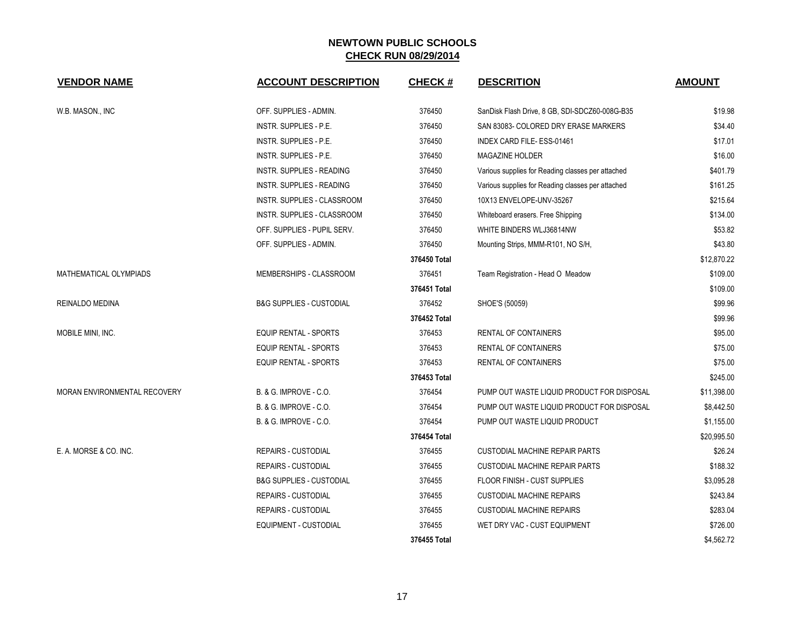| <b>VENDOR NAME</b>           | <b>ACCOUNT DESCRIPTION</b>          | <b>CHECK#</b> | <b>DESCRITION</b>                                 | <b>AMOUNT</b> |
|------------------------------|-------------------------------------|---------------|---------------------------------------------------|---------------|
| W.B. MASON., INC             | OFF. SUPPLIES - ADMIN.              | 376450        | SanDisk Flash Drive, 8 GB, SDI-SDCZ60-008G-B35    | \$19.98       |
|                              | INSTR. SUPPLIES - P.E.              | 376450        | SAN 83083- COLORED DRY ERASE MARKERS              | \$34.40       |
|                              | <b>INSTR. SUPPLIES - P.E.</b>       | 376450        | INDEX CARD FILE- ESS-01461                        | \$17.01       |
|                              | <b>INSTR. SUPPLIES - P.E.</b>       | 376450        | <b>MAGAZINE HOLDER</b>                            | \$16.00       |
|                              | INSTR. SUPPLIES - READING           | 376450        | Various supplies for Reading classes per attached | \$401.79      |
|                              | INSTR. SUPPLIES - READING           | 376450        | Various supplies for Reading classes per attached | \$161.25      |
|                              | INSTR. SUPPLIES - CLASSROOM         | 376450        | 10X13 ENVELOPE-UNV-35267                          | \$215.64      |
|                              | INSTR. SUPPLIES - CLASSROOM         | 376450        | Whiteboard erasers. Free Shipping                 | \$134.00      |
|                              | OFF. SUPPLIES - PUPIL SERV.         | 376450        | WHITE BINDERS WLJ36814NW                          | \$53.82       |
|                              | OFF. SUPPLIES - ADMIN.              | 376450        | Mounting Strips, MMM-R101, NO S/H,                | \$43.80       |
|                              |                                     | 376450 Total  |                                                   | \$12,870.22   |
| MATHEMATICAL OLYMPIADS       | MEMBERSHIPS - CLASSROOM             | 376451        | Team Registration - Head O Meadow                 | \$109.00      |
|                              |                                     | 376451 Total  |                                                   | \$109.00      |
| REINALDO MEDINA              | <b>B&amp;G SUPPLIES - CUSTODIAL</b> | 376452        | SHOE'S (50059)                                    | \$99.96       |
|                              |                                     | 376452 Total  |                                                   | \$99.96       |
| MOBILE MINI, INC.            | <b>EQUIP RENTAL - SPORTS</b>        | 376453        | RENTAL OF CONTAINERS                              | \$95.00       |
|                              | <b>EQUIP RENTAL - SPORTS</b>        | 376453        | <b>RENTAL OF CONTAINERS</b>                       | \$75.00       |
|                              | <b>EQUIP RENTAL - SPORTS</b>        | 376453        | RENTAL OF CONTAINERS                              | \$75.00       |
|                              |                                     | 376453 Total  |                                                   | \$245.00      |
| MORAN ENVIRONMENTAL RECOVERY | <b>B. &amp; G. IMPROVE - C.O.</b>   | 376454        | PUMP OUT WASTE LIQUID PRODUCT FOR DISPOSAL        | \$11,398.00   |
|                              | <b>B. &amp; G. IMPROVE - C.O.</b>   | 376454        | PUMP OUT WASTE LIQUID PRODUCT FOR DISPOSAL        | \$8,442.50    |
|                              | B. & G. IMPROVE - C.O.              | 376454        | PUMP OUT WASTE LIQUID PRODUCT                     | \$1,155.00    |
|                              |                                     | 376454 Total  |                                                   | \$20,995.50   |
| E. A. MORSE & CO. INC.       | <b>REPAIRS - CUSTODIAL</b>          | 376455        | CUSTODIAL MACHINE REPAIR PARTS                    | \$26.24       |
|                              | <b>REPAIRS - CUSTODIAL</b>          | 376455        | CUSTODIAL MACHINE REPAIR PARTS                    | \$188.32      |
|                              | <b>B&amp;G SUPPLIES - CUSTODIAL</b> | 376455        | FLOOR FINISH - CUST SUPPLIES                      | \$3,095.28    |
|                              | <b>REPAIRS - CUSTODIAL</b>          | 376455        | <b>CUSTODIAL MACHINE REPAIRS</b>                  | \$243.84      |
|                              | <b>REPAIRS - CUSTODIAL</b>          | 376455        | <b>CUSTODIAL MACHINE REPAIRS</b>                  | \$283.04      |
|                              | EQUIPMENT - CUSTODIAL               | 376455        | WET DRY VAC - CUST EQUIPMENT                      | \$726.00      |
|                              |                                     | 376455 Total  |                                                   | \$4,562.72    |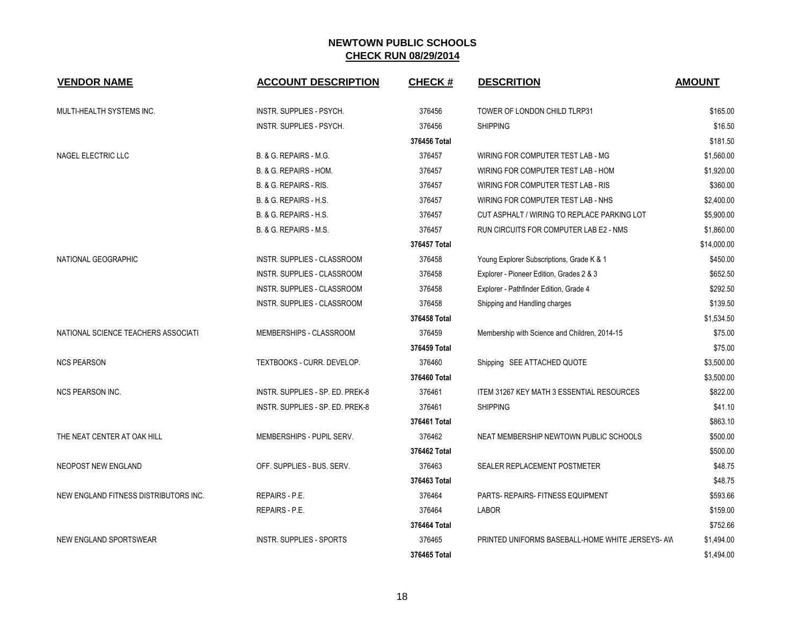| <b>VENDOR NAME</b>                    | <b>ACCOUNT DESCRIPTION</b>         | <b>CHECK#</b> | <b>DESCRITION</b>                                | <b>AMOUNT</b> |
|---------------------------------------|------------------------------------|---------------|--------------------------------------------------|---------------|
| MULTI-HEALTH SYSTEMS INC.             | INSTR. SUPPLIES - PSYCH.           | 376456        | TOWER OF LONDON CHILD TLRP31                     | \$165.00      |
|                                       | <b>INSTR. SUPPLIES - PSYCH.</b>    | 376456        | <b>SHIPPING</b>                                  | \$16.50       |
|                                       |                                    | 376456 Total  |                                                  | \$181.50      |
| <b>NAGEL ELECTRIC LLC</b>             | B. & G. REPAIRS - M.G.             | 376457        | WIRING FOR COMPUTER TEST LAB - MG                | \$1,560.00    |
|                                       | B. & G. REPAIRS - HOM.             | 376457        | WIRING FOR COMPUTER TEST LAB - HOM               | \$1,920.00    |
|                                       | B. & G. REPAIRS - RIS.             | 376457        | WIRING FOR COMPUTER TEST LAB - RIS               | \$360.00      |
|                                       | B. & G. REPAIRS - H.S.             | 376457        | WIRING FOR COMPUTER TEST LAB - NHS               | \$2,400.00    |
|                                       | B. & G. REPAIRS - H.S.             | 376457        | CUT ASPHALT / WIRING TO REPLACE PARKING LOT      | \$5,900.00    |
|                                       | B. & G. REPAIRS - M.S.             | 376457        | RUN CIRCUITS FOR COMPUTER LAB E2 - NMS           | \$1,860.00    |
|                                       |                                    | 376457 Total  |                                                  | \$14,000.00   |
| NATIONAL GEOGRAPHIC                   | INSTR. SUPPLIES - CLASSROOM        | 376458        | Young Explorer Subscriptions, Grade K & 1        | \$450.00      |
|                                       | <b>INSTR. SUPPLIES - CLASSROOM</b> | 376458        | Explorer - Pioneer Edition, Grades 2 & 3         | \$652.50      |
|                                       | INSTR. SUPPLIES - CLASSROOM        | 376458        | Explorer - Pathfinder Edition, Grade 4           | \$292.50      |
|                                       | INSTR. SUPPLIES - CLASSROOM        | 376458        | Shipping and Handling charges                    | \$139.50      |
|                                       |                                    | 376458 Total  |                                                  | \$1,534.50    |
| NATIONAL SCIENCE TEACHERS ASSOCIATI   | MEMBERSHIPS - CLASSROOM            | 376459        | Membership with Science and Children, 2014-15    | \$75.00       |
|                                       |                                    | 376459 Total  |                                                  | \$75.00       |
| <b>NCS PEARSON</b>                    | TEXTBOOKS - CURR. DEVELOP.         | 376460        | Shipping SEE ATTACHED QUOTE                      | \$3,500.00    |
|                                       |                                    | 376460 Total  |                                                  | \$3,500.00    |
| <b>NCS PEARSON INC.</b>               | INSTR. SUPPLIES - SP. ED. PREK-8   | 376461        | <b>ITEM 31267 KEY MATH 3 ESSENTIAL RESOURCES</b> | \$822.00      |
|                                       | INSTR. SUPPLIES - SP. ED. PREK-8   | 376461        | <b>SHIPPING</b>                                  | \$41.10       |
|                                       |                                    | 376461 Total  |                                                  | \$863.10      |
| THE NEAT CENTER AT OAK HILL           | MEMBERSHIPS - PUPIL SERV.          | 376462        | NEAT MEMBERSHIP NEWTOWN PUBLIC SCHOOLS           | \$500.00      |
|                                       |                                    | 376462 Total  |                                                  | \$500.00      |
| NEOPOST NEW ENGLAND                   | OFF. SUPPLIES - BUS. SERV.         | 376463        | SEALER REPLACEMENT POSTMETER                     | \$48.75       |
|                                       |                                    | 376463 Total  |                                                  | \$48.75       |
| NEW ENGLAND FITNESS DISTRIBUTORS INC. | REPAIRS - P.E.                     | 376464        | PARTS- REPAIRS- FITNESS EQUIPMENT                | \$593.66      |
|                                       | REPAIRS - P.E.                     | 376464        | LABOR                                            | \$159.00      |
|                                       |                                    | 376464 Total  |                                                  | \$752.66      |
| <b>NEW ENGLAND SPORTSWEAR</b>         | <b>INSTR. SUPPLIES - SPORTS</b>    | 376465        | PRINTED UNIFORMS BASEBALL-HOME WHITE JERSEYS-AW  | \$1,494.00    |
|                                       |                                    | 376465 Total  |                                                  | \$1,494.00    |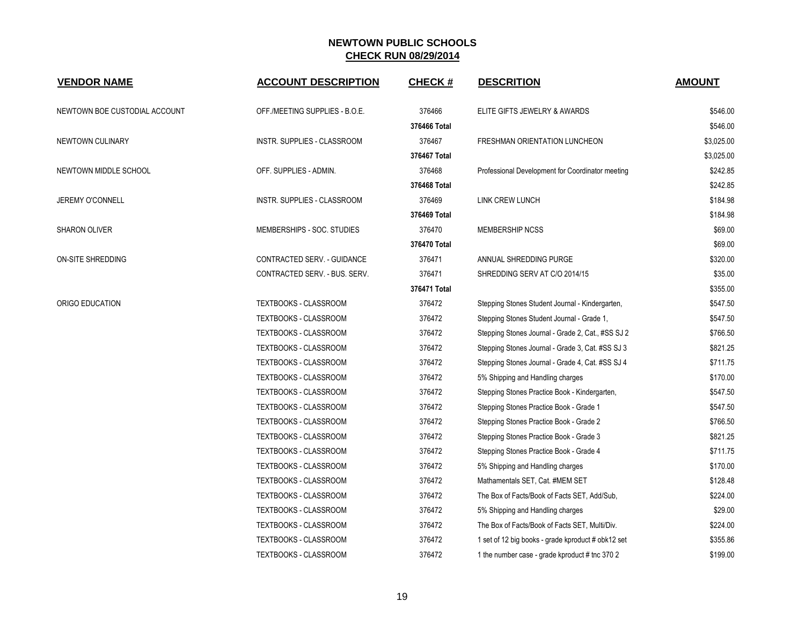| <b>VENDOR NAME</b>            | <b>ACCOUNT DESCRIPTION</b>     | <b>CHECK#</b> | <b>DESCRITION</b>                                  | <b>AMOUNT</b> |
|-------------------------------|--------------------------------|---------------|----------------------------------------------------|---------------|
| NEWTOWN BOE CUSTODIAL ACCOUNT | OFF./MEETING SUPPLIES - B.O.E. | 376466        | ELITE GIFTS JEWELRY & AWARDS                       | \$546.00      |
|                               |                                | 376466 Total  |                                                    | \$546.00      |
| NEWTOWN CULINARY              | INSTR. SUPPLIES - CLASSROOM    | 376467        | FRESHMAN ORIENTATION LUNCHEON                      | \$3,025.00    |
|                               |                                | 376467 Total  |                                                    | \$3,025.00    |
| NEWTOWN MIDDLE SCHOOL         | OFF. SUPPLIES - ADMIN.         | 376468        | Professional Development for Coordinator meeting   | \$242.85      |
|                               |                                | 376468 Total  |                                                    | \$242.85      |
| JEREMY O'CONNELL              | INSTR. SUPPLIES - CLASSROOM    | 376469        | <b>LINK CREW LUNCH</b>                             | \$184.98      |
|                               |                                | 376469 Total  |                                                    | \$184.98      |
| <b>SHARON OLIVER</b>          | MEMBERSHIPS - SOC. STUDIES     | 376470        | <b>MEMBERSHIP NCSS</b>                             | \$69.00       |
|                               |                                | 376470 Total  |                                                    | \$69.00       |
| ON-SITE SHREDDING             | CONTRACTED SERV. - GUIDANCE    | 376471        | ANNUAL SHREDDING PURGE                             | \$320.00      |
|                               | CONTRACTED SERV. - BUS. SERV.  | 376471        | SHREDDING SERV AT C/O 2014/15                      | \$35.00       |
|                               |                                | 376471 Total  |                                                    | \$355.00      |
| ORIGO EDUCATION               | <b>TEXTBOOKS - CLASSROOM</b>   | 376472        | Stepping Stones Student Journal - Kindergarten,    | \$547.50      |
|                               | TEXTBOOKS - CLASSROOM          | 376472        | Stepping Stones Student Journal - Grade 1,         | \$547.50      |
|                               | TEXTBOOKS - CLASSROOM          | 376472        | Stepping Stones Journal - Grade 2, Cat., #SS SJ 2  | \$766.50      |
|                               | TEXTBOOKS - CLASSROOM          | 376472        | Stepping Stones Journal - Grade 3, Cat. #SS SJ 3   | \$821.25      |
|                               | TEXTBOOKS - CLASSROOM          | 376472        | Stepping Stones Journal - Grade 4, Cat. #SS SJ 4   | \$711.75      |
|                               | TEXTBOOKS - CLASSROOM          | 376472        | 5% Shipping and Handling charges                   | \$170.00      |
|                               | <b>TEXTBOOKS - CLASSROOM</b>   | 376472        | Stepping Stones Practice Book - Kindergarten,      | \$547.50      |
|                               | <b>TEXTBOOKS - CLASSROOM</b>   | 376472        | Stepping Stones Practice Book - Grade 1            | \$547.50      |
|                               | TEXTBOOKS - CLASSROOM          | 376472        | Stepping Stones Practice Book - Grade 2            | \$766.50      |
|                               | TEXTBOOKS - CLASSROOM          | 376472        | Stepping Stones Practice Book - Grade 3            | \$821.25      |
|                               | TEXTBOOKS - CLASSROOM          | 376472        | Stepping Stones Practice Book - Grade 4            | \$711.75      |
|                               | TEXTBOOKS - CLASSROOM          | 376472        | 5% Shipping and Handling charges                   | \$170.00      |
|                               | <b>TEXTBOOKS - CLASSROOM</b>   | 376472        | Mathamentals SET, Cat. #MEM SET                    | \$128.48      |
|                               | <b>TEXTBOOKS - CLASSROOM</b>   | 376472        | The Box of Facts/Book of Facts SET, Add/Sub,       | \$224.00      |
|                               | <b>TEXTBOOKS - CLASSROOM</b>   | 376472        | 5% Shipping and Handling charges                   | \$29.00       |
|                               | <b>TEXTBOOKS - CLASSROOM</b>   | 376472        | The Box of Facts/Book of Facts SET, Multi/Div.     | \$224.00      |
|                               | TEXTBOOKS - CLASSROOM          | 376472        | 1 set of 12 big books - grade kproduct # obk12 set | \$355.86      |
|                               | <b>TEXTBOOKS - CLASSROOM</b>   | 376472        | 1 the number case - grade kproduct # tnc 370 2     | \$199.00      |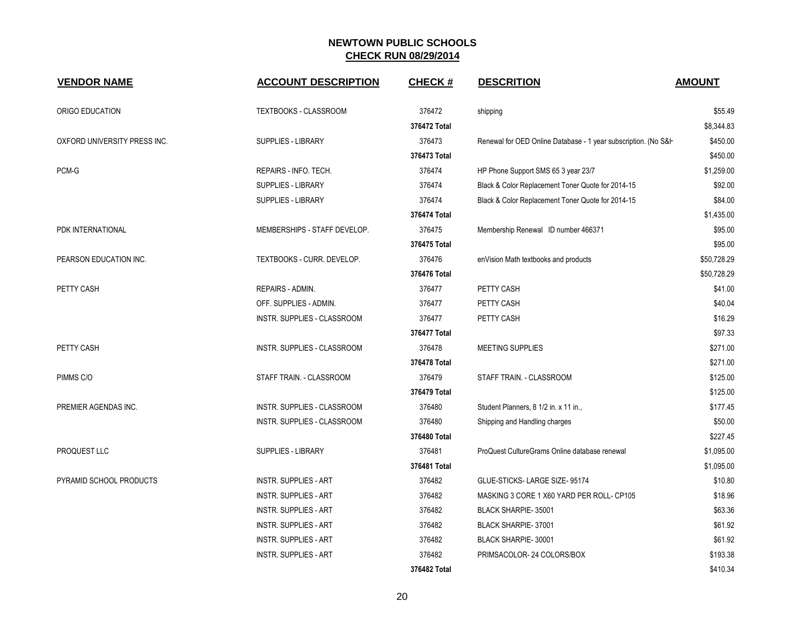| <b>VENDOR NAME</b>           | <b>ACCOUNT DESCRIPTION</b>   | <b>CHECK#</b> | <b>DESCRITION</b>                                               | <b>AMOUNT</b> |
|------------------------------|------------------------------|---------------|-----------------------------------------------------------------|---------------|
| ORIGO EDUCATION              | TEXTBOOKS - CLASSROOM        | 376472        | shipping                                                        | \$55.49       |
|                              |                              | 376472 Total  |                                                                 | \$8,344.83    |
| OXFORD UNIVERSITY PRESS INC. | SUPPLIES - LIBRARY           | 376473        | Renewal for OED Online Database - 1 year subscription. (No S&H) | \$450.00      |
|                              |                              | 376473 Total  |                                                                 | \$450.00      |
| PCM-G                        | REPAIRS - INFO. TECH.        | 376474        | HP Phone Support SMS 65 3 year 23/7                             | \$1,259.00    |
|                              | <b>SUPPLIES - LIBRARY</b>    | 376474        | Black & Color Replacement Toner Quote for 2014-15               | \$92.00       |
|                              | SUPPLIES - LIBRARY           | 376474        | Black & Color Replacement Toner Quote for 2014-15               | \$84.00       |
|                              |                              | 376474 Total  |                                                                 | \$1,435.00    |
| PDK INTERNATIONAL            | MEMBERSHIPS - STAFF DEVELOP. | 376475        | Membership Renewal ID number 466371                             | \$95.00       |
|                              |                              | 376475 Total  |                                                                 | \$95.00       |
| PEARSON EDUCATION INC.       | TEXTBOOKS - CURR. DEVELOP.   | 376476        | enVision Math textbooks and products                            | \$50,728.29   |
|                              |                              | 376476 Total  |                                                                 | \$50,728.29   |
| PETTY CASH                   | REPAIRS - ADMIN.             | 376477        | PETTY CASH                                                      | \$41.00       |
|                              | OFF. SUPPLIES - ADMIN.       | 376477        | PETTY CASH                                                      | \$40.04       |
|                              | INSTR. SUPPLIES - CLASSROOM  | 376477        | PETTY CASH                                                      | \$16.29       |
|                              |                              | 376477 Total  |                                                                 | \$97.33       |
| PETTY CASH                   | INSTR. SUPPLIES - CLASSROOM  | 376478        | <b>MEETING SUPPLIES</b>                                         | \$271.00      |
|                              |                              | 376478 Total  |                                                                 | \$271.00      |
| PIMMS C/O                    | STAFF TRAIN. - CLASSROOM     | 376479        | STAFF TRAIN. - CLASSROOM                                        | \$125.00      |
|                              |                              | 376479 Total  |                                                                 | \$125.00      |
| PREMIER AGENDAS INC.         | INSTR. SUPPLIES - CLASSROOM  | 376480        | Student Planners, 8 1/2 in. x 11 in.,                           | \$177.45      |
|                              | INSTR. SUPPLIES - CLASSROOM  | 376480        | Shipping and Handling charges                                   | \$50.00       |
|                              |                              | 376480 Total  |                                                                 | \$227.45      |
| PROQUEST LLC                 | <b>SUPPLIES - LIBRARY</b>    | 376481        | ProQuest CultureGrams Online database renewal                   | \$1,095.00    |
|                              |                              | 376481 Total  |                                                                 | \$1,095.00    |
| PYRAMID SCHOOL PRODUCTS      | <b>INSTR. SUPPLIES - ART</b> | 376482        | GLUE-STICKS-LARGE SIZE-95174                                    | \$10.80       |
|                              | <b>INSTR. SUPPLIES - ART</b> | 376482        | MASKING 3 CORE 1 X60 YARD PER ROLL- CP105                       | \$18.96       |
|                              | <b>INSTR. SUPPLIES - ART</b> | 376482        | <b>BLACK SHARPIE-35001</b>                                      | \$63.36       |
|                              | <b>INSTR. SUPPLIES - ART</b> | 376482        | BLACK SHARPIE-37001                                             | \$61.92       |
|                              | <b>INSTR. SUPPLIES - ART</b> | 376482        | BLACK SHARPIE-30001                                             | \$61.92       |
|                              | <b>INSTR. SUPPLIES - ART</b> | 376482        | PRIMSACOLOR-24 COLORS/BOX                                       | \$193.38      |
|                              |                              | 376482 Total  |                                                                 | \$410.34      |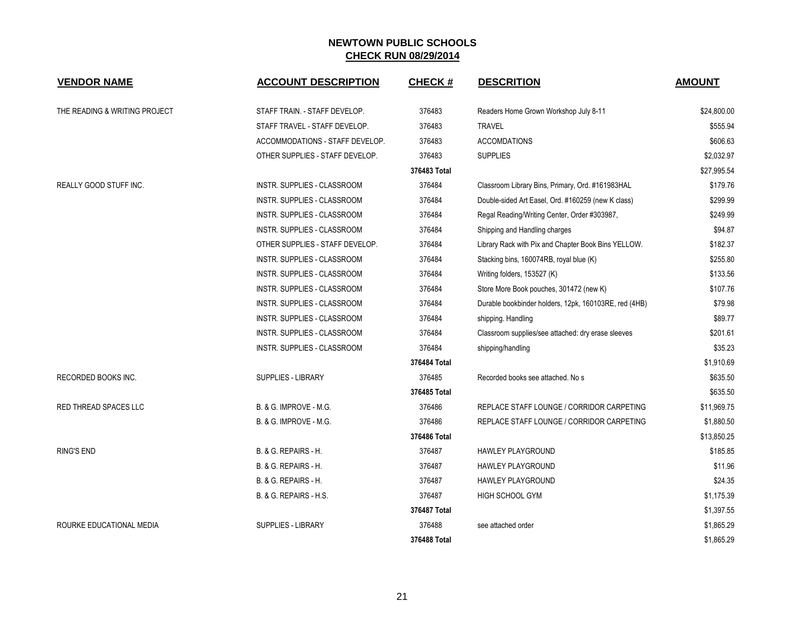| <b>VENDOR NAME</b>            | <b>ACCOUNT DESCRIPTION</b>        | <b>CHECK#</b> | <b>DESCRITION</b>                                     | <b>AMOUNT</b> |
|-------------------------------|-----------------------------------|---------------|-------------------------------------------------------|---------------|
| THE READING & WRITING PROJECT | STAFF TRAIN. - STAFF DEVELOP.     | 376483        | Readers Home Grown Workshop July 8-11                 | \$24,800.00   |
|                               | STAFF TRAVEL - STAFF DEVELOP.     | 376483        | <b>TRAVEL</b>                                         | \$555.94      |
|                               | ACCOMMODATIONS - STAFF DEVELOP.   | 376483        | <b>ACCOMDATIONS</b>                                   | \$606.63      |
|                               | OTHER SUPPLIES - STAFF DEVELOP.   | 376483        | <b>SUPPLIES</b>                                       | \$2,032.97    |
|                               |                                   | 376483 Total  |                                                       | \$27,995.54   |
| <b>REALLY GOOD STUFF INC.</b> | INSTR. SUPPLIES - CLASSROOM       | 376484        | Classroom Library Bins, Primary, Ord. #161983HAL      | \$179.76      |
|                               | INSTR. SUPPLIES - CLASSROOM       | 376484        | Double-sided Art Easel, Ord. #160259 (new K class)    | \$299.99      |
|                               | INSTR. SUPPLIES - CLASSROOM       | 376484        | Regal Reading/Writing Center, Order #303987,          | \$249.99      |
|                               | INSTR. SUPPLIES - CLASSROOM       | 376484        | Shipping and Handling charges                         | \$94.87       |
|                               | OTHER SUPPLIES - STAFF DEVELOP.   | 376484        | Library Rack with Pix and Chapter Book Bins YELLOW.   | \$182.37      |
|                               | INSTR. SUPPLIES - CLASSROOM       | 376484        | Stacking bins, 160074RB, royal blue (K)               | \$255.80      |
|                               | INSTR. SUPPLIES - CLASSROOM       | 376484        | Writing folders, 153527 (K)                           | \$133.56      |
|                               | INSTR. SUPPLIES - CLASSROOM       | 376484        | Store More Book pouches, 301472 (new K)               | \$107.76      |
|                               | INSTR. SUPPLIES - CLASSROOM       | 376484        | Durable bookbinder holders, 12pk, 160103RE, red (4HB) | \$79.98       |
|                               | INSTR. SUPPLIES - CLASSROOM       | 376484        | shipping. Handling                                    | \$89.77       |
|                               | INSTR. SUPPLIES - CLASSROOM       | 376484        | Classroom supplies/see attached: dry erase sleeves    | \$201.61      |
|                               | INSTR. SUPPLIES - CLASSROOM       | 376484        | shipping/handling                                     | \$35.23       |
|                               |                                   | 376484 Total  |                                                       | \$1,910.69    |
| <b>RECORDED BOOKS INC.</b>    | <b>SUPPLIES - LIBRARY</b>         | 376485        | Recorded books see attached. No s                     | \$635.50      |
|                               |                                   | 376485 Total  |                                                       | \$635.50      |
| RED THREAD SPACES LLC         | <b>B. &amp; G. IMPROVE - M.G.</b> | 376486        | REPLACE STAFF LOUNGE / CORRIDOR CARPETING             | \$11,969.75   |
|                               | <b>B. &amp; G. IMPROVE - M.G.</b> | 376486        | REPLACE STAFF LOUNGE / CORRIDOR CARPETING             | \$1,880.50    |
|                               |                                   | 376486 Total  |                                                       | \$13,850.25   |
| <b>RING'S END</b>             | B. & G. REPAIRS - H.              | 376487        | <b>HAWLEY PLAYGROUND</b>                              | \$185.85      |
|                               | B. & G. REPAIRS - H.              | 376487        | <b>HAWLEY PLAYGROUND</b>                              | \$11.96       |
|                               | B. & G. REPAIRS - H.              | 376487        | <b>HAWLEY PLAYGROUND</b>                              | \$24.35       |
|                               | B. & G. REPAIRS - H.S.            | 376487        | <b>HIGH SCHOOL GYM</b>                                | \$1,175.39    |
|                               |                                   | 376487 Total  |                                                       | \$1,397.55    |
| ROURKE EDUCATIONAL MEDIA      | <b>SUPPLIES - LIBRARY</b>         | 376488        | see attached order                                    | \$1,865.29    |
|                               |                                   | 376488 Total  |                                                       | \$1,865.29    |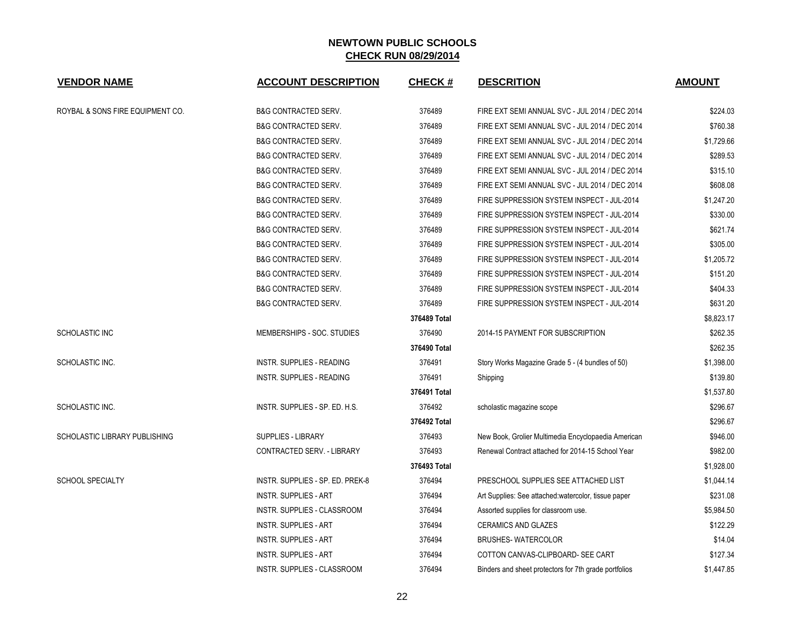| <b>VENDOR NAME</b>               | <b>ACCOUNT DESCRIPTION</b>        | <b>CHECK#</b> | <b>DESCRITION</b>                                     | <b>AMOUNT</b> |
|----------------------------------|-----------------------------------|---------------|-------------------------------------------------------|---------------|
| ROYBAL & SONS FIRE EQUIPMENT CO. | <b>B&amp;G CONTRACTED SERV.</b>   | 376489        | FIRE EXT SEMI ANNUAL SVC - JUL 2014 / DEC 2014        | \$224.03      |
|                                  | <b>B&amp;G CONTRACTED SERV.</b>   | 376489        | FIRE EXT SEMI ANNUAL SVC - JUL 2014 / DEC 2014        | \$760.38      |
|                                  | <b>B&amp;G CONTRACTED SERV.</b>   | 376489        | FIRE EXT SEMI ANNUAL SVC - JUL 2014 / DEC 2014        | \$1,729.66    |
|                                  | <b>B&amp;G CONTRACTED SERV.</b>   | 376489        | FIRE EXT SEMI ANNUAL SVC - JUL 2014 / DEC 2014        | \$289.53      |
|                                  | <b>B&amp;G CONTRACTED SERV.</b>   | 376489        | FIRE EXT SEMI ANNUAL SVC - JUL 2014 / DEC 2014        | \$315.10      |
|                                  | <b>B&amp;G CONTRACTED SERV.</b>   | 376489        | FIRE EXT SEMI ANNUAL SVC - JUL 2014 / DEC 2014        | \$608.08      |
|                                  | B&G CONTRACTED SERV.              | 376489        | FIRE SUPPRESSION SYSTEM INSPECT - JUL-2014            | \$1,247.20    |
|                                  | <b>B&amp;G CONTRACTED SERV.</b>   | 376489        | FIRE SUPPRESSION SYSTEM INSPECT - JUL-2014            | \$330.00      |
|                                  | <b>B&amp;G CONTRACTED SERV.</b>   | 376489        | FIRE SUPPRESSION SYSTEM INSPECT - JUL-2014            | \$621.74      |
|                                  | <b>B&amp;G CONTRACTED SERV.</b>   | 376489        | FIRE SUPPRESSION SYSTEM INSPECT - JUL-2014            | \$305.00      |
|                                  | <b>B&amp;G CONTRACTED SERV.</b>   | 376489        | FIRE SUPPRESSION SYSTEM INSPECT - JUL-2014            | \$1,205.72    |
|                                  | <b>B&amp;G CONTRACTED SERV.</b>   | 376489        | FIRE SUPPRESSION SYSTEM INSPECT - JUL-2014            | \$151.20      |
|                                  | <b>B&amp;G CONTRACTED SERV.</b>   | 376489        | FIRE SUPPRESSION SYSTEM INSPECT - JUL-2014            | \$404.33      |
|                                  | <b>B&amp;G CONTRACTED SERV.</b>   | 376489        | FIRE SUPPRESSION SYSTEM INSPECT - JUL-2014            | \$631.20      |
|                                  |                                   | 376489 Total  |                                                       | \$8,823.17    |
| SCHOLASTIC INC                   | MEMBERSHIPS - SOC. STUDIES        | 376490        | 2014-15 PAYMENT FOR SUBSCRIPTION                      | \$262.35      |
|                                  |                                   | 376490 Total  |                                                       | \$262.35      |
| SCHOLASTIC INC.                  | <b>INSTR. SUPPLIES - READING</b>  | 376491        | Story Works Magazine Grade 5 - (4 bundles of 50)      | \$1,398.00    |
|                                  | INSTR. SUPPLIES - READING         | 376491        | Shipping                                              | \$139.80      |
|                                  |                                   | 376491 Total  |                                                       | \$1,537.80    |
| SCHOLASTIC INC.                  | INSTR. SUPPLIES - SP. ED. H.S.    | 376492        | scholastic magazine scope                             | \$296.67      |
|                                  |                                   | 376492 Total  |                                                       | \$296.67      |
| SCHOLASTIC LIBRARY PUBLISHING    | SUPPLIES - LIBRARY                | 376493        | New Book, Grolier Multimedia Encyclopaedia American   | \$946.00      |
|                                  | <b>CONTRACTED SERV. - LIBRARY</b> | 376493        | Renewal Contract attached for 2014-15 School Year     | \$982.00      |
|                                  |                                   | 376493 Total  |                                                       | \$1,928.00    |
| <b>SCHOOL SPECIALTY</b>          | INSTR. SUPPLIES - SP. ED. PREK-8  | 376494        | PRESCHOOL SUPPLIES SEE ATTACHED LIST                  | \$1,044.14    |
|                                  | <b>INSTR. SUPPLIES - ART</b>      | 376494        | Art Supplies: See attached: watercolor, tissue paper  | \$231.08      |
|                                  | INSTR. SUPPLIES - CLASSROOM       | 376494        | Assorted supplies for classroom use.                  | \$5,984.50    |
|                                  | <b>INSTR. SUPPLIES - ART</b>      | 376494        | <b>CERAMICS AND GLAZES</b>                            | \$122.29      |
|                                  | <b>INSTR. SUPPLIES - ART</b>      | 376494        | <b>BRUSHES-WATERCOLOR</b>                             | \$14.04       |
|                                  | <b>INSTR. SUPPLIES - ART</b>      | 376494        | COTTON CANVAS-CLIPBOARD- SEE CART                     | \$127.34      |
|                                  | INSTR. SUPPLIES - CLASSROOM       | 376494        | Binders and sheet protectors for 7th grade portfolios | \$1,447.85    |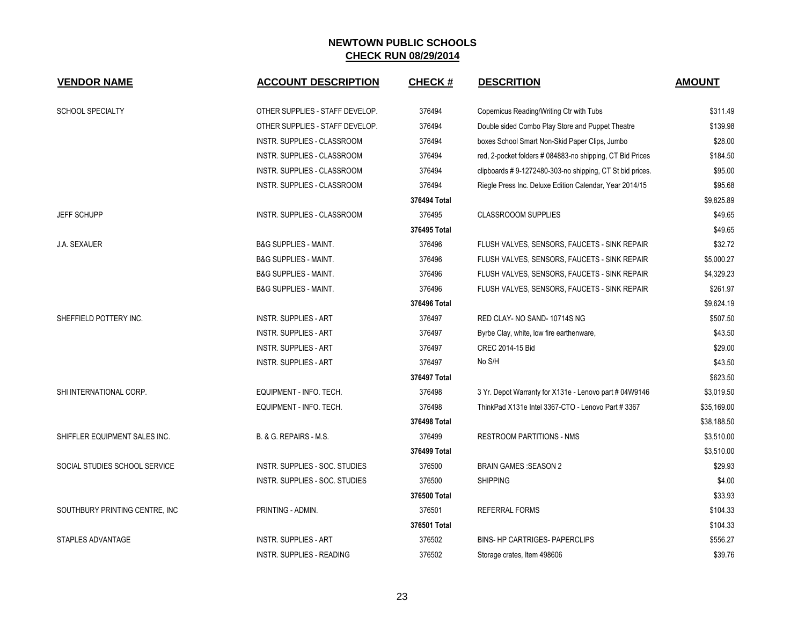| <b>VENDOR NAME</b>              | <b>ACCOUNT DESCRIPTION</b>       | <b>CHECK#</b> | <b>DESCRITION</b>                                         | <b>AMOUNT</b> |
|---------------------------------|----------------------------------|---------------|-----------------------------------------------------------|---------------|
| <b>SCHOOL SPECIALTY</b>         | OTHER SUPPLIES - STAFF DEVELOP.  | 376494        | Copernicus Reading/Writing Ctr with Tubs                  | \$311.49      |
|                                 | OTHER SUPPLIES - STAFF DEVELOP.  | 376494        | Double sided Combo Play Store and Puppet Theatre          | \$139.98      |
|                                 | INSTR. SUPPLIES - CLASSROOM      | 376494        | boxes School Smart Non-Skid Paper Clips, Jumbo            | \$28.00       |
|                                 | INSTR. SUPPLIES - CLASSROOM      | 376494        | red, 2-pocket folders # 084883-no shipping, CT Bid Prices | \$184.50      |
|                                 | INSTR. SUPPLIES - CLASSROOM      | 376494        | clipboards #9-1272480-303-no shipping, CT St bid prices.  | \$95.00       |
|                                 | INSTR. SUPPLIES - CLASSROOM      | 376494        | Riegle Press Inc. Deluxe Edition Calendar, Year 2014/15   | \$95.68       |
|                                 |                                  | 376494 Total  |                                                           | \$9,825.89    |
| <b>JEFF SCHUPP</b>              | INSTR. SUPPLIES - CLASSROOM      | 376495        | <b>CLASSROOOM SUPPLIES</b>                                | \$49.65       |
|                                 |                                  | 376495 Total  |                                                           | \$49.65       |
| J.A. SEXAUER                    | <b>B&amp;G SUPPLIES - MAINT.</b> | 376496        | FLUSH VALVES, SENSORS, FAUCETS - SINK REPAIR              | \$32.72       |
|                                 | <b>B&amp;G SUPPLIES - MAINT.</b> | 376496        | FLUSH VALVES, SENSORS, FAUCETS - SINK REPAIR              | \$5,000.27    |
|                                 | <b>B&amp;G SUPPLIES - MAINT.</b> | 376496        | FLUSH VALVES, SENSORS, FAUCETS - SINK REPAIR              | \$4,329.23    |
|                                 | <b>B&amp;G SUPPLIES - MAINT.</b> | 376496        | FLUSH VALVES, SENSORS, FAUCETS - SINK REPAIR              | \$261.97      |
|                                 |                                  | 376496 Total  |                                                           | \$9.624.19    |
| SHEFFIELD POTTERY INC.          | <b>INSTR. SUPPLIES - ART</b>     | 376497        | RED CLAY- NO SAND-10714S NG                               | \$507.50      |
|                                 | <b>INSTR. SUPPLIES - ART</b>     | 376497        | Byrbe Clay, white, low fire earthenware,                  | \$43.50       |
|                                 | <b>INSTR. SUPPLIES - ART</b>     | 376497        | CREC 2014-15 Bid                                          | \$29.00       |
|                                 | <b>INSTR. SUPPLIES - ART</b>     | 376497        | No S/H                                                    | \$43.50       |
|                                 |                                  | 376497 Total  |                                                           | \$623.50      |
| SHI INTERNATIONAL CORP.         | EQUIPMENT - INFO. TECH.          | 376498        | 3 Yr. Depot Warranty for X131e - Lenovo part # 04W9146    | \$3,019.50    |
|                                 | EQUIPMENT - INFO. TECH.          | 376498        | ThinkPad X131e Intel 3367-CTO - Lenovo Part # 3367        | \$35,169.00   |
|                                 |                                  | 376498 Total  |                                                           | \$38,188.50   |
| SHIFFLER EQUIPMENT SALES INC.   | B. & G. REPAIRS - M.S.           | 376499        | <b>RESTROOM PARTITIONS - NMS</b>                          | \$3,510.00    |
|                                 |                                  | 376499 Total  |                                                           | \$3,510.00    |
| SOCIAL STUDIES SCHOOL SERVICE   | INSTR. SUPPLIES - SOC. STUDIES   | 376500        | <b>BRAIN GAMES : SEASON 2</b>                             | \$29.93       |
|                                 | INSTR. SUPPLIES - SOC. STUDIES   | 376500        | <b>SHIPPING</b>                                           | \$4.00        |
|                                 |                                  | 376500 Total  |                                                           | \$33.93       |
| SOUTHBURY PRINTING CENTRE, INC. | PRINTING - ADMIN.                | 376501        | REFERRAL FORMS                                            | \$104.33      |
|                                 |                                  | 376501 Total  |                                                           | \$104.33      |
| STAPLES ADVANTAGE               | <b>INSTR. SUPPLIES - ART</b>     | 376502        | BINS- HP CARTRIGES- PAPERCLIPS                            | \$556.27      |
|                                 | <b>INSTR. SUPPLIES - READING</b> | 376502        | Storage crates, Item 498606                               | \$39.76       |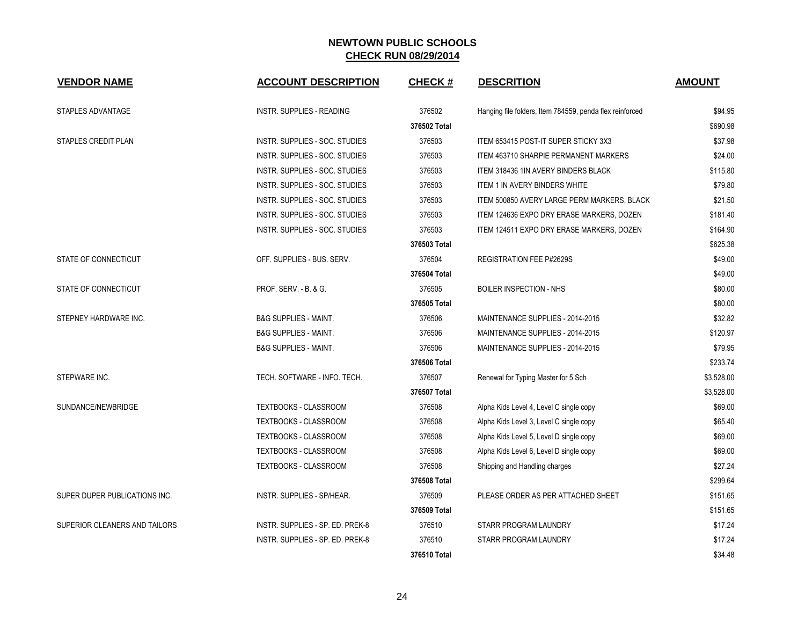| <b>VENDOR NAME</b>            | <b>ACCOUNT DESCRIPTION</b>       | <b>CHECK#</b> | <b>DESCRITION</b>                                        | <b>AMOUNT</b> |
|-------------------------------|----------------------------------|---------------|----------------------------------------------------------|---------------|
| STAPLES ADVANTAGE             | INSTR. SUPPLIES - READING        | 376502        | Hanging file folders, Item 784559, penda flex reinforced | \$94.95       |
|                               |                                  | 376502 Total  |                                                          | \$690.98      |
| STAPLES CREDIT PLAN           | INSTR. SUPPLIES - SOC. STUDIES   | 376503        | ITEM 653415 POST-IT SUPER STICKY 3X3                     | \$37.98       |
|                               | INSTR. SUPPLIES - SOC. STUDIES   | 376503        | <b>ITEM 463710 SHARPIE PERMANENT MARKERS</b>             | \$24.00       |
|                               | INSTR. SUPPLIES - SOC. STUDIES   | 376503        | ITEM 318436 1IN AVERY BINDERS BLACK                      | \$115.80      |
|                               | INSTR. SUPPLIES - SOC. STUDIES   | 376503        | <b>ITEM 1 IN AVERY BINDERS WHITE</b>                     | \$79.80       |
|                               | INSTR. SUPPLIES - SOC. STUDIES   | 376503        | ITEM 500850 AVERY LARGE PERM MARKERS, BLACK              | \$21.50       |
|                               | INSTR. SUPPLIES - SOC. STUDIES   | 376503        | ITEM 124636 EXPO DRY ERASE MARKERS, DOZEN                | \$181.40      |
|                               | INSTR. SUPPLIES - SOC. STUDIES   | 376503        | ITEM 124511 EXPO DRY ERASE MARKERS, DOZEN                | \$164.90      |
|                               |                                  | 376503 Total  |                                                          | \$625.38      |
| STATE OF CONNECTICUT          | OFF. SUPPLIES - BUS. SERV.       | 376504        | REGISTRATION FEE P#2629S                                 | \$49.00       |
|                               |                                  | 376504 Total  |                                                          | \$49.00       |
| STATE OF CONNECTICUT          | PROF. SERV. - B. & G.            | 376505        | <b>BOILER INSPECTION - NHS</b>                           | \$80.00       |
|                               |                                  | 376505 Total  |                                                          | \$80.00       |
| STEPNEY HARDWARE INC.         | <b>B&amp;G SUPPLIES - MAINT.</b> | 376506        | MAINTENANCE SUPPLIES - 2014-2015                         | \$32.82       |
|                               | <b>B&amp;G SUPPLIES - MAINT.</b> | 376506        | MAINTENANCE SUPPLIES - 2014-2015                         | \$120.97      |
|                               | <b>B&amp;G SUPPLIES - MAINT.</b> | 376506        | MAINTENANCE SUPPLIES - 2014-2015                         | \$79.95       |
|                               |                                  | 376506 Total  |                                                          | \$233.74      |
| STEPWARE INC.                 | TECH. SOFTWARE - INFO. TECH.     | 376507        | Renewal for Typing Master for 5 Sch                      | \$3,528.00    |
|                               |                                  | 376507 Total  |                                                          | \$3,528.00    |
| SUNDANCE/NEWBRIDGE            | <b>TEXTBOOKS - CLASSROOM</b>     | 376508        | Alpha Kids Level 4, Level C single copy                  | \$69.00       |
|                               | TEXTBOOKS - CLASSROOM            | 376508        | Alpha Kids Level 3, Level C single copy                  | \$65.40       |
|                               | <b>TEXTBOOKS - CLASSROOM</b>     | 376508        | Alpha Kids Level 5, Level D single copy                  | \$69.00       |
|                               | TEXTBOOKS - CLASSROOM            | 376508        | Alpha Kids Level 6, Level D single copy                  | \$69.00       |
|                               | <b>TEXTBOOKS - CLASSROOM</b>     | 376508        | Shipping and Handling charges                            | \$27.24       |
|                               |                                  | 376508 Total  |                                                          | \$299.64      |
| SUPER DUPER PUBLICATIONS INC. | INSTR. SUPPLIES - SP/HEAR.       | 376509        | PLEASE ORDER AS PER ATTACHED SHEET                       | \$151.65      |
|                               |                                  | 376509 Total  |                                                          | \$151.65      |
| SUPERIOR CLEANERS AND TAILORS | INSTR. SUPPLIES - SP. ED. PREK-8 | 376510        | STARR PROGRAM LAUNDRY                                    | \$17.24       |
|                               | INSTR. SUPPLIES - SP. ED. PREK-8 | 376510        | STARR PROGRAM LAUNDRY                                    | \$17.24       |
|                               |                                  | 376510 Total  |                                                          | \$34.48       |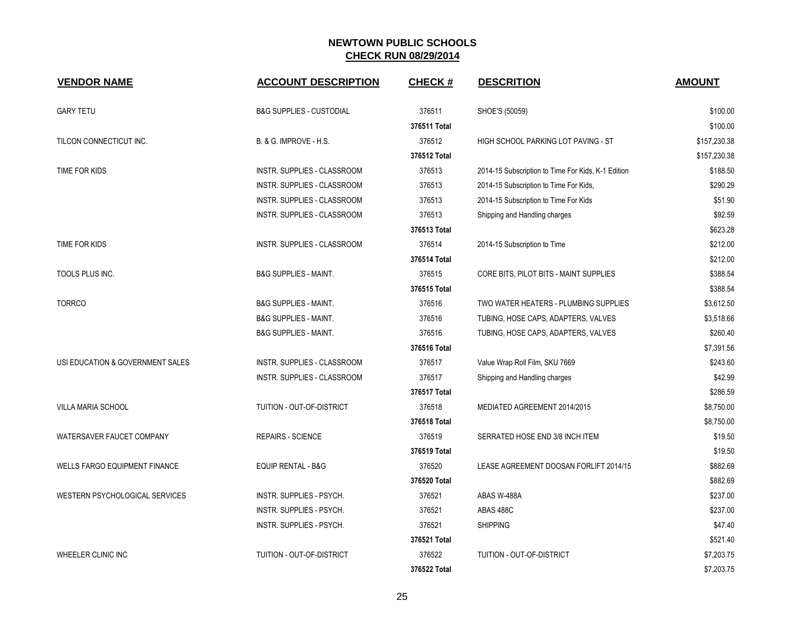| <b>VENDOR NAME</b>                   | <b>ACCOUNT DESCRIPTION</b>          | <b>CHECK#</b> | <b>DESCRITION</b>                                  | <b>AMOUNT</b> |
|--------------------------------------|-------------------------------------|---------------|----------------------------------------------------|---------------|
| <b>GARY TETU</b>                     | <b>B&amp;G SUPPLIES - CUSTODIAL</b> | 376511        | SHOE'S (50059)                                     | \$100.00      |
|                                      |                                     | 376511 Total  |                                                    | \$100.00      |
| TILCON CONNECTICUT INC.              | B. & G. IMPROVE - H.S.              | 376512        | HIGH SCHOOL PARKING LOT PAVING - ST                | \$157,230.38  |
|                                      |                                     | 376512 Total  |                                                    | \$157,230.38  |
| TIME FOR KIDS                        | INSTR. SUPPLIES - CLASSROOM         | 376513        | 2014-15 Subscription to Time For Kids, K-1 Edition | \$188.50      |
|                                      | INSTR. SUPPLIES - CLASSROOM         | 376513        | 2014-15 Subscription to Time For Kids,             | \$290.29      |
|                                      | INSTR. SUPPLIES - CLASSROOM         | 376513        | 2014-15 Subscription to Time For Kids              | \$51.90       |
|                                      | INSTR. SUPPLIES - CLASSROOM         | 376513        | Shipping and Handling charges                      | \$92.59       |
|                                      |                                     | 376513 Total  |                                                    | \$623.28      |
| TIME FOR KIDS                        | INSTR. SUPPLIES - CLASSROOM         | 376514        | 2014-15 Subscription to Time                       | \$212.00      |
|                                      |                                     | 376514 Total  |                                                    | \$212.00      |
| TOOLS PLUS INC.                      | <b>B&amp;G SUPPLIES - MAINT.</b>    | 376515        | CORE BITS, PILOT BITS - MAINT SUPPLIES             | \$388.54      |
|                                      |                                     | 376515 Total  |                                                    | \$388.54      |
| <b>TORRCO</b>                        | <b>B&amp;G SUPPLIES - MAINT.</b>    | 376516        | TWO WATER HEATERS - PLUMBING SUPPLIES              | \$3,612.50    |
|                                      | <b>B&amp;G SUPPLIES - MAINT.</b>    | 376516        | TUBING, HOSE CAPS, ADAPTERS, VALVES                | \$3,518.66    |
|                                      | <b>B&amp;G SUPPLIES - MAINT.</b>    | 376516        | TUBING, HOSE CAPS, ADAPTERS, VALVES                | \$260.40      |
|                                      |                                     | 376516 Total  |                                                    | \$7,391.56    |
| USI EDUCATION & GOVERNMENT SALES     | INSTR. SUPPLIES - CLASSROOM         | 376517        | Value Wrap Roll Film, SKU 7669                     | \$243.60      |
|                                      | INSTR. SUPPLIES - CLASSROOM         | 376517        | Shipping and Handling charges                      | \$42.99       |
|                                      |                                     | 376517 Total  |                                                    | \$286.59      |
| VILLA MARIA SCHOOL                   | TUITION - OUT-OF-DISTRICT           | 376518        | MEDIATED AGREEMENT 2014/2015                       | \$8,750.00    |
|                                      |                                     | 376518 Total  |                                                    | \$8,750.00    |
| WATERSAVER FAUCET COMPANY            | <b>REPAIRS - SCIENCE</b>            | 376519        | SERRATED HOSE END 3/8 INCH ITEM                    | \$19.50       |
|                                      |                                     | 376519 Total  |                                                    | \$19.50       |
| <b>WELLS FARGO EQUIPMENT FINANCE</b> | <b>EQUIP RENTAL - B&amp;G</b>       | 376520        | LEASE AGREEMENT DOOSAN FORLIFT 2014/15             | \$882.69      |
|                                      |                                     | 376520 Total  |                                                    | \$882.69      |
| WESTERN PSYCHOLOGICAL SERVICES       | INSTR. SUPPLIES - PSYCH.            | 376521        | ABAS W-488A                                        | \$237.00      |
|                                      | INSTR. SUPPLIES - PSYCH.            | 376521        | ABAS 488C                                          | \$237.00      |
|                                      | INSTR. SUPPLIES - PSYCH.            | 376521        | <b>SHIPPING</b>                                    | \$47.40       |
|                                      |                                     | 376521 Total  |                                                    | \$521.40      |
| <b>WHEELER CLINIC INC</b>            | <b>TUITION - OUT-OF-DISTRICT</b>    | 376522        | TUITION - OUT-OF-DISTRICT                          | \$7,203.75    |
|                                      |                                     | 376522 Total  |                                                    | \$7,203.75    |